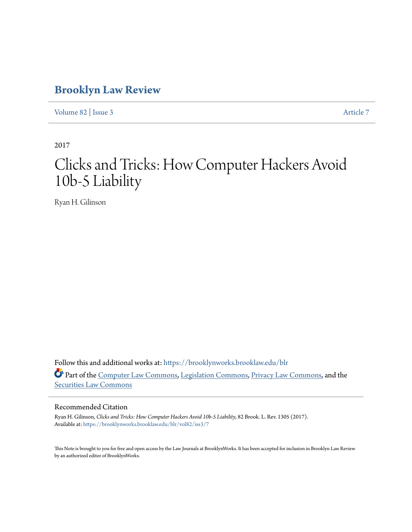# **[Brooklyn Law Review](https://brooklynworks.brooklaw.edu/blr?utm_source=brooklynworks.brooklaw.edu%2Fblr%2Fvol82%2Fiss3%2F7&utm_medium=PDF&utm_campaign=PDFCoverPages)**

[Volume 82](https://brooklynworks.brooklaw.edu/blr/vol82?utm_source=brooklynworks.brooklaw.edu%2Fblr%2Fvol82%2Fiss3%2F7&utm_medium=PDF&utm_campaign=PDFCoverPages) | [Issue 3](https://brooklynworks.brooklaw.edu/blr/vol82/iss3?utm_source=brooklynworks.brooklaw.edu%2Fblr%2Fvol82%2Fiss3%2F7&utm_medium=PDF&utm_campaign=PDFCoverPages) [Article 7](https://brooklynworks.brooklaw.edu/blr/vol82/iss3/7?utm_source=brooklynworks.brooklaw.edu%2Fblr%2Fvol82%2Fiss3%2F7&utm_medium=PDF&utm_campaign=PDFCoverPages)

2017

# Clicks and Tricks: How Computer Hackers Avoid 10b-5 Liability

Ryan H. Gilinson

Follow this and additional works at: [https://brooklynworks.brooklaw.edu/blr](https://brooklynworks.brooklaw.edu/blr?utm_source=brooklynworks.brooklaw.edu%2Fblr%2Fvol82%2Fiss3%2F7&utm_medium=PDF&utm_campaign=PDFCoverPages) Part of the [Computer Law Commons,](http://network.bepress.com/hgg/discipline/837?utm_source=brooklynworks.brooklaw.edu%2Fblr%2Fvol82%2Fiss3%2F7&utm_medium=PDF&utm_campaign=PDFCoverPages) [Legislation Commons,](http://network.bepress.com/hgg/discipline/859?utm_source=brooklynworks.brooklaw.edu%2Fblr%2Fvol82%2Fiss3%2F7&utm_medium=PDF&utm_campaign=PDFCoverPages) [Privacy Law Commons](http://network.bepress.com/hgg/discipline/1234?utm_source=brooklynworks.brooklaw.edu%2Fblr%2Fvol82%2Fiss3%2F7&utm_medium=PDF&utm_campaign=PDFCoverPages), and the [Securities Law Commons](http://network.bepress.com/hgg/discipline/619?utm_source=brooklynworks.brooklaw.edu%2Fblr%2Fvol82%2Fiss3%2F7&utm_medium=PDF&utm_campaign=PDFCoverPages)

#### Recommended Citation

Ryan H. Gilinson, *Clicks and Tricks: How Computer Hackers Avoid 10b-5 Liability*, 82 Brook. L. Rev. 1305 (2017). Available at: [https://brooklynworks.brooklaw.edu/blr/vol82/iss3/7](https://brooklynworks.brooklaw.edu/blr/vol82/iss3/7?utm_source=brooklynworks.brooklaw.edu%2Fblr%2Fvol82%2Fiss3%2F7&utm_medium=PDF&utm_campaign=PDFCoverPages)

This Note is brought to you for free and open access by the Law Journals at BrooklynWorks. It has been accepted for inclusion in Brooklyn Law Review by an authorized editor of BrooklynWorks.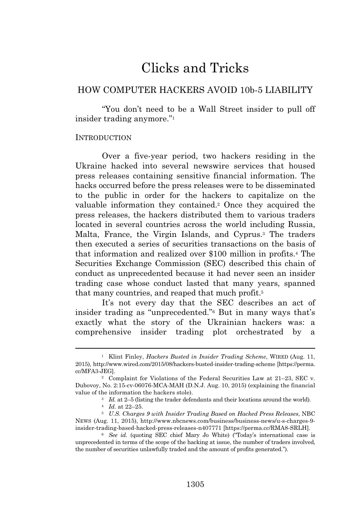# Clicks and Tricks

# HOW COMPUTER HACKERS AVOID 10b-5 LIABILITY

"You don't need to be a Wall Street insider to pull off insider trading anymore."<sup>1</sup>

#### **INTRODUCTION**

Over a five-year period, two hackers residing in the Ukraine hacked into several newswire services that housed press releases containing sensitive financial information. The hacks occurred before the press releases were to be disseminated to the public in order for the hackers to capitalize on the valuable information they contained.<sup>2</sup> Once they acquired the press releases, the hackers distributed them to various traders located in several countries across the world including Russia, Malta, France, the Virgin Islands, and Cyprus.<sup>3</sup> The traders then executed a series of securities transactions on the basis of that information and realized over \$100 million in profits.<sup>4</sup> The Securities Exchange Commission (SEC) described this chain of conduct as unprecedented because it had never seen an insider trading case whose conduct lasted that many years, spanned that many countries, and reaped that much profit.<sup>5</sup>

It's not every day that the SEC describes an act of insider trading as "unprecedented."<sup>6</sup> But in many ways that's exactly what the story of the Ukrainian hackers was: a comprehensive insider trading plot orchestrated by a

<sup>1</sup> Klint Finley, *Hackers Busted in Insider Trading Scheme*, WIRED (Aug. 11, 2015), http://www.wired.com/2015/08/hackers-busted-insider-trading-scheme [https://perma. cc/MFA3-JEG].

<sup>2</sup> Complaint for Violations of the Federal Securities Law at 21–23, SEC v. Dubovoy, No. 2:15-cv-06076-MCA-MAH (D.N.J. Aug. 10, 2015) (explaining the financial value of the information the hackers stole).

<sup>3</sup> *Id.* at 2–5 (listing the trader defendants and their locations around the world).

<sup>4</sup> *Id.* at 22–25.

<sup>5</sup> *U.S. Charges 9 with Insider Trading Based on Hacked Press Releases*, NBC NEWS (Aug. 11, 2015), http://www.nbcnews.com/business/business-news/u-s-charges-9 insider-trading-based-hacked-press-releases-n407771 [https://perma.cc/RMA8-SRLH].

<sup>6</sup> *See id.* (quoting SEC chief Mary Jo White) ("Today's international case is unprecedented in terms of the scope of the hacking at issue, the number of traders involved, the number of securities unlawfully traded and the amount of profits generated.").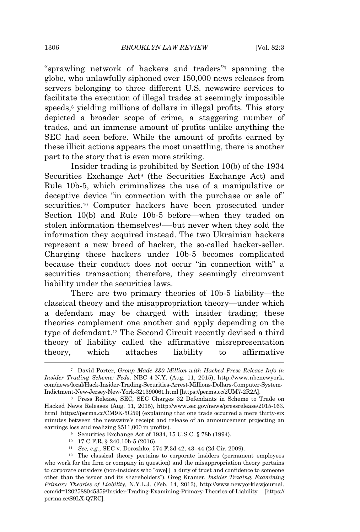"sprawling network of hackers and traders"<sup>7</sup> spanning the globe, who unlawfully siphoned over 150,000 news releases from servers belonging to three different U.S. newswire services to facilitate the execution of illegal trades at seemingly impossible speeds,<sup>8</sup> yielding millions of dollars in illegal profits. This story depicted a broader scope of crime, a staggering number of trades, and an immense amount of profits unlike anything the SEC had seen before. While the amount of profits earned by these illicit actions appears the most unsettling, there is another part to the story that is even more striking.

Insider trading is prohibited by Section 10(b) of the 1934 Securities Exchange Act<sup>9</sup> (the Securities Exchange Act) and Rule 10b-5, which criminalizes the use of a manipulative or deceptive device "in connection with the purchase or sale of" securities.<sup>10</sup> Computer hackers have been prosecuted under Section 10(b) and Rule 10b-5 before—when they traded on stolen information themselves<sup>11</sup>—but never when they sold the information they acquired instead. The two Ukrainian hackers represent a new breed of hacker, the so-called hacker-seller. Charging these hackers under 10b-5 becomes complicated because their conduct does not occur "in connection with" a securities transaction; therefore, they seemingly circumvent liability under the securities laws.

There are two primary theories of 10b-5 liability—the classical theory and the misappropriation theory—under which a defendant may be charged with insider trading; these theories complement one another and apply depending on the type of defendant.<sup>12</sup> The Second Circuit recently devised a third theory of liability called the affirmative misrepresentation theory, which attaches liability to affirmative

<sup>7</sup> David Porter, *Group Made \$30 Million with Hacked Press Release Info in Insider Trading Scheme: Feds*, NBC 4 N.Y. (Aug. 11, 2015), http://www.nbcnewyork. com/news/local/Hack-Insider-Trading-Securities-Arrest-Millions-Dollars-Computer-System-Indictment-New-Jersey-New-York-321390061.html [https://perma.cc/2UM7-2R2A].

<sup>8</sup> Press Release, SEC, SEC Charges 32 Defendants in Scheme to Trade on Hacked News Releases (Aug. 11, 2015), http://www.sec.gov/news/pressrelease/2015-163. html [https://perma.cc/CM9K-5G59] (explaining that one trade occurred a mere thirty-six minutes between the newswire's receipt and release of an announcement projecting an earnings loss and realizing \$511,000 in profits).

<sup>9</sup> Securities Exchange Act of 1934, 15 U.S.C. § 78b (1994).

<sup>10</sup> 17 C.F.R. § 240.10b-5 (2016).

<sup>11</sup> *See, e.g.*, SEC v. Dorozhko, 574 F.3d 42, 43–44 (2d Cir. 2009).

<sup>12</sup> The classical theory pertains to corporate insiders (permanent employees who work for the firm or company in question) and the misappropriation theory pertains to corporate outsiders (non-insiders who "owe[ ] a duty of trust and confidence to someone other than the issuer and its shareholders"). Greg Kramer, *Insider Trading: Examining Primary Theories of Liability*, N.Y.L.J. (Feb. 14, 2013), http://www.newyorklawjournal. com/id=1202588045359/Insider-Trading-Examining-Primary-Theories-of-Liability [https:// perma.cc/S9LX-Q7RC].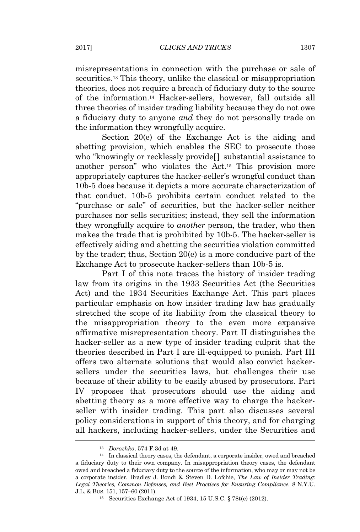misrepresentations in connection with the purchase or sale of securities.<sup>13</sup> This theory, unlike the classical or misappropriation theories, does not require a breach of fiduciary duty to the source of the information.<sup>14</sup> Hacker-sellers, however, fall outside all three theories of insider trading liability because they do not owe a fiduciary duty to anyone *and* they do not personally trade on the information they wrongfully acquire.

Section 20(e) of the Exchange Act is the aiding and abetting provision, which enables the SEC to prosecute those who "knowingly or recklessly provide[ ] substantial assistance to another person" who violates the Act.<sup>15</sup> This provision more appropriately captures the hacker-seller's wrongful conduct than 10b-5 does because it depicts a more accurate characterization of that conduct. 10b-5 prohibits certain conduct related to the "purchase or sale" of securities, but the hacker-seller neither purchases nor sells securities; instead, they sell the information they wrongfully acquire to *another* person, the trader, who then makes the trade that is prohibited by 10b-5. The hacker-seller is effectively aiding and abetting the securities violation committed by the trader; thus, Section 20(e) is a more conducive part of the Exchange Act to prosecute hacker-sellers than 10b-5 is.

Part I of this note traces the history of insider trading law from its origins in the 1933 Securities Act (the Securities Act) and the 1934 Securities Exchange Act. This part places particular emphasis on how insider trading law has gradually stretched the scope of its liability from the classical theory to the misappropriation theory to the even more expansive affirmative misrepresentation theory. Part II distinguishes the hacker-seller as a new type of insider trading culprit that the theories described in Part I are ill-equipped to punish. Part III offers two alternate solutions that would also convict hackersellers under the securities laws, but challenges their use because of their ability to be easily abused by prosecutors. Part IV proposes that prosecutors should use the aiding and abetting theory as a more effective way to charge the hackerseller with insider trading. This part also discusses several policy considerations in support of this theory, and for charging all hackers, including hacker-sellers, under the Securities and

<sup>13</sup> *Dorozhko*, 574 F.3d at 49.

<sup>14</sup> In classical theory cases, the defendant, a corporate insider, owed and breached a fiduciary duty to their own company. In misappropriation theory cases, the defendant owed and breached a fiduciary duty to the source of the information, who may or may not be a corporate insider. Bradley J. Bondi & Steven D. Lofchie, *The Law of Insider Trading: Legal Theories, Common Defenses, and Best Practices for Ensuring Compliance*, 8 N.Y.U. J.L. & BUS. 151, 157–60 (2011).

<sup>15</sup> Securities Exchange Act of 1934, 15 U.S.C. § 78t(e) (2012).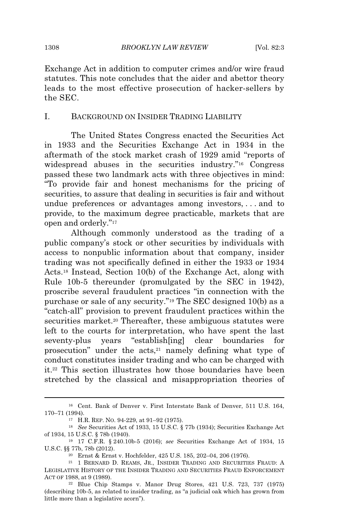Exchange Act in addition to computer crimes and/or wire fraud statutes. This note concludes that the aider and abettor theory leads to the most effective prosecution of hacker-sellers by the SEC.

#### I. BACKGROUND ON INSIDER TRADING LIABILITY

The United States Congress enacted the Securities Act in 1933 and the Securities Exchange Act in 1934 in the aftermath of the stock market crash of 1929 amid "reports of widespread abuses in the securities industry."<sup>16</sup> Congress passed these two landmark acts with three objectives in mind: "To provide fair and honest mechanisms for the pricing of securities, to assure that dealing in securities is fair and without undue preferences or advantages among investors, . . . and to provide, to the maximum degree practicable, markets that are open and orderly."<sup>17</sup>

Although commonly understood as the trading of a public company's stock or other securities by individuals with access to nonpublic information about that company, insider trading was not specifically defined in either the 1933 or 1934 Acts.<sup>18</sup> Instead, Section 10(b) of the Exchange Act, along with Rule 10b-5 thereunder (promulgated by the SEC in 1942), proscribe several fraudulent practices "in connection with the purchase or sale of any security."<sup>19</sup> The SEC designed 10(b) as a "catch-all" provision to prevent fraudulent practices within the securities market.<sup>20</sup> Thereafter, these ambiguous statutes were left to the courts for interpretation, who have spent the last seventy-plus years "establish[ing] clear boundaries for prosecution" under the acts,<sup>21</sup> namely defining what type of conduct constitutes insider trading and who can be charged with it.<sup>22</sup> This section illustrates how those boundaries have been stretched by the classical and misappropriation theories of

<sup>16</sup> Cent. Bank of Denver v. First Interstate Bank of Denver, 511 U.S. 164, 170–71 (1994).

<sup>17</sup> H.R. REP. NO. 94-229, at 91–92 (1975).

<sup>18</sup> *See* Securities Act of 1933, 15 U.S.C. § 77b (1934); Securities Exchange Act of 1934, 15 U.S.C. § 78b (1940).

<sup>19</sup> 17 C.F.R. § 240.10b-5 (2016); *see* Securities Exchange Act of 1934, 15 U.S.C. §§ 77b, 78b (2012).

<sup>20</sup> Ernst & Ernst v. Hochfelder, 425 U.S. 185, 202–04, 206 (1976).

<sup>21</sup> 1 BERNARD D. REAMS, JR., INSIDER TRADING AND SECURITIES FRAUD: A LEGISLATIVE HISTORY OF THE INSIDER TRADING AND SECURITIES FRAUD ENFORCEMENT ACT OF 1988, at 9 (1989).

<sup>22</sup> Blue Chip Stamps v. Manor Drug Stores, 421 U.S. 723, 737 (1975) (describing 10b-5, as related to insider trading, as "a judicial oak which has grown from little more than a legislative acorn").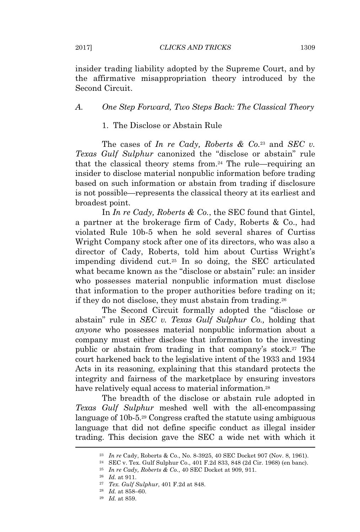insider trading liability adopted by the Supreme Court, and by the affirmative misappropriation theory introduced by the Second Circuit.

#### *A. One Step Forward, Two Steps Back: The Classical Theory*

### 1. The Disclose or Abstain Rule

The cases of *In re Cady, Roberts & Co.*<sup>23</sup> and *SEC v. Texas Gulf Sulphur* canonized the "disclose or abstain" rule that the classical theory stems from.<sup>24</sup> The rule—requiring an insider to disclose material nonpublic information before trading based on such information or abstain from trading if disclosure is not possible—represents the classical theory at its earliest and broadest point.

In *In re Cady, Roberts & Co.*, the SEC found that Gintel, a partner at the brokerage firm of Cady, Roberts & Co., had violated Rule 10b-5 when he sold several shares of Curtiss Wright Company stock after one of its directors, who was also a director of Cady, Roberts, told him about Curtiss Wright's impending dividend cut.<sup>25</sup> In so doing, the SEC articulated what became known as the "disclose or abstain" rule: an insider who possesses material nonpublic information must disclose that information to the proper authorities before trading on it; if they do not disclose, they must abstain from trading.<sup>26</sup>

The Second Circuit formally adopted the "disclose or abstain" rule in *SEC v. Texas Gulf Sulphur Co.,* holding that *anyone* who possesses material nonpublic information about a company must either disclose that information to the investing public or abstain from trading in that company's stock.<sup>27</sup> The court harkened back to the legislative intent of the 1933 and 1934 Acts in its reasoning, explaining that this standard protects the integrity and fairness of the marketplace by ensuring investors have relatively equal access to material information.<sup>28</sup>

The breadth of the disclose or abstain rule adopted in *Texas Gulf Sulphur* meshed well with the all-encompassing language of 10b-5.<sup>29</sup> Congress crafted the statute using ambiguous language that did not define specific conduct as illegal insider trading. This decision gave the SEC a wide net with which it

<sup>23</sup> *In re* Cady, Roberts & Co., No. 8-3925, 40 SEC Docket 907 (Nov. 8, 1961).

<sup>24</sup> SEC v. Tex. Gulf Sulphur Co., 401 F.2d 833, 848 (2d Cir. 1968) (en banc).

<sup>25</sup> *In re Cady, Roberts & Co.*, 40 SEC Docket at 909, 911.

<sup>26</sup> *Id.* at 911.

<sup>27</sup> *Tex. Gulf Sulphur*, 401 F.2d at 848.

<sup>28</sup> *Id.* at 858–60.

<sup>29</sup> *Id.* at 859.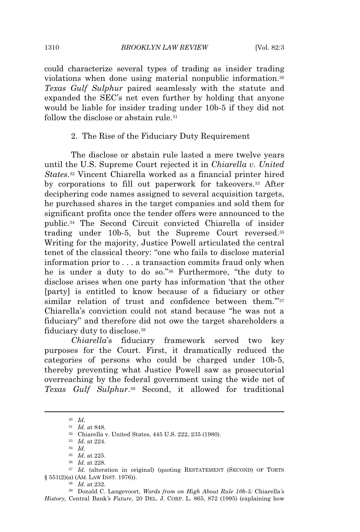could characterize several types of trading as insider trading violations when done using material nonpublic information.<sup>30</sup> *Texas Gulf Sulphur* paired seamlessly with the statute and expanded the SEC's net even further by holding that anyone would be liable for insider trading under 10b-5 if they did not follow the disclose or abstain rule.<sup>31</sup>

#### 2. The Rise of the Fiduciary Duty Requirement

The disclose or abstain rule lasted a mere twelve years until the U.S. Supreme Court rejected it in *Chiarella v. United States*. <sup>32</sup> Vincent Chiarella worked as a financial printer hired by corporations to fill out paperwork for takeovers.<sup>33</sup> After deciphering code names assigned to several acquisition targets, he purchased shares in the target companies and sold them for significant profits once the tender offers were announced to the public.<sup>34</sup> The Second Circuit convicted Chiarella of insider trading under 10b-5, but the Supreme Court reversed.<sup>35</sup> Writing for the majority, Justice Powell articulated the central tenet of the classical theory: "one who fails to disclose material information prior to . . . a transaction commits fraud only when he is under a duty to do so."<sup>36</sup> Furthermore, "the duty to disclose arises when one party has information 'that the other [party] is entitled to know because of a fiduciary or other similar relation of trust and confidence between them."37 Chiarella's conviction could not stand because "he was not a fiduciary" and therefore did not owe the target shareholders a fiduciary duty to disclose.<sup>38</sup>

*Chiarella*'s fiduciary framework served two key purposes for the Court. First, it dramatically reduced the categories of persons who could be charged under 10b-5, thereby preventing what Justice Powell saw as prosecutorial overreaching by the federal government using the wide net of *Texas Gulf Sulphur*. <sup>39</sup> Second, it allowed for traditional

<sup>39</sup> Donald C. Langevoort, *Words from on High About Rule 10b-5:* Chiarella*'s History,* Central Bank*'s Future*, 20 DEL. J. CORP. L. 865, 872 (1995) (explaining how

<sup>30</sup> *Id.*

<sup>31</sup> *Id.* at 848.

<sup>32</sup> Chiarella v. United States, 445 U.S. 222, 235 (1980).

<sup>33</sup> *Id.* at 224.

<sup>34</sup> *Id.*

<sup>35</sup> *Id.* at 225.

<sup>36</sup> *Id.* at 228.

<sup>&</sup>lt;sup>37</sup> *Id.* (alteration in original) (quoting RESTATEMENT (SECOND) OF TORTS § 551(2)(a) (AM. LAW INST. 1976)).

<sup>38</sup> *Id.* at 232.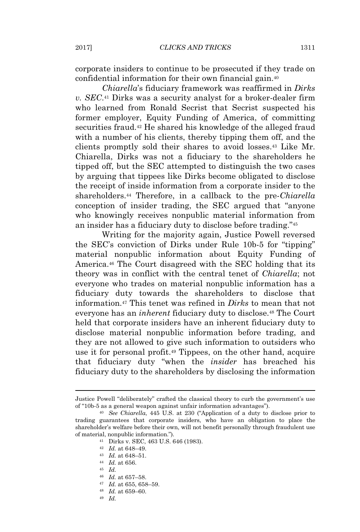corporate insiders to continue to be prosecuted if they trade on confidential information for their own financial gain.<sup>40</sup>

*Chiarella*'s fiduciary framework was reaffirmed in *Dirks v. SEC*. <sup>41</sup> Dirks was a security analyst for a broker-dealer firm who learned from Ronald Secrist that Secrist suspected his former employer, Equity Funding of America, of committing securities fraud.<sup>42</sup> He shared his knowledge of the alleged fraud with a number of his clients, thereby tipping them off, and the clients promptly sold their shares to avoid losses.<sup>43</sup> Like Mr. Chiarella, Dirks was not a fiduciary to the shareholders he tipped off, but the SEC attempted to distinguish the two cases by arguing that tippees like Dirks become obligated to disclose the receipt of inside information from a corporate insider to the shareholders.<sup>44</sup> Therefore, in a callback to the pre-*Chiarella* conception of insider trading, the SEC argued that "anyone who knowingly receives nonpublic material information from an insider has a fiduciary duty to disclose before trading."<sup>45</sup>

Writing for the majority again, Justice Powell reversed the SEC's conviction of Dirks under Rule 10b-5 for "tipping" material nonpublic information about Equity Funding of America.<sup>46</sup> The Court disagreed with the SEC holding that its theory was in conflict with the central tenet of *Chiarella*; not everyone who trades on material nonpublic information has a fiduciary duty towards the shareholders to disclose that information.<sup>47</sup> This tenet was refined in *Dirks* to mean that not everyone has an *inherent* fiduciary duty to disclose.<sup>48</sup> The Court held that corporate insiders have an inherent fiduciary duty to disclose material nonpublic information before trading, and they are not allowed to give such information to outsiders who use it for personal profit.<sup>49</sup> Tippees, on the other hand, acquire that fiduciary duty "when the *insider* has breached his fiduciary duty to the shareholders by disclosing the information

- <sup>46</sup> *Id.* at 657–58.
- <sup>47</sup> *Id.* at 655, 658–59.
- <sup>48</sup> *Id.* at 659–60.
- <sup>49</sup> *Id.*

Justice Powell "deliberately" crafted the classical theory to curb the government's use of "10b-5 as a general weapon against unfair information advantages").

<sup>40</sup> *See Chiarella*, 445 U.S. at 230 ("Application of a duty to disclose prior to trading guarantees that corporate insiders, who have an obligation to place the shareholder's welfare before their own, will not benefit personally through fraudulent use of material, nonpublic information.").

<sup>41</sup> Dirks v. SEC, 463 U.S. 646 (1983).

<sup>42</sup> *Id.* at 648–49.

<sup>43</sup> *Id.* at 648–51.

<sup>44</sup> *Id.* at 656.

<sup>45</sup> *Id.*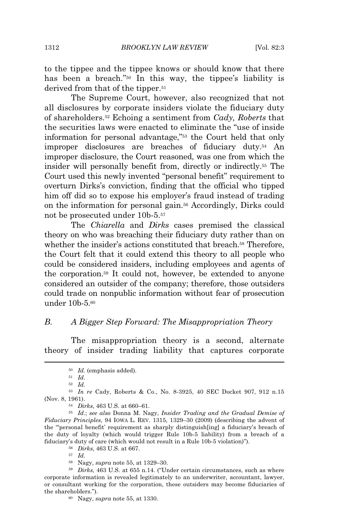to the tippee and the tippee knows or should know that there has been a breach." <sup>50</sup> In this way, the tippee's liability is derived from that of the tipper.<sup>51</sup>

The Supreme Court, however, also recognized that not all disclosures by corporate insiders violate the fiduciary duty of shareholders.<sup>52</sup> Echoing a sentiment from *Cady, Roberts* that the securities laws were enacted to eliminate the "use of inside information for personal advantage," <sup>53</sup> the Court held that only improper disclosures are breaches of fiduciary duty.<sup>54</sup> An improper disclosure, the Court reasoned, was one from which the insider will personally benefit from, directly or indirectly.<sup>55</sup> The Court used this newly invented "personal benefit" requirement to overturn Dirks's conviction, finding that the official who tipped him off did so to expose his employer's fraud instead of trading on the information for personal gain.<sup>56</sup> Accordingly, Dirks could not be prosecuted under 10b-5.<sup>57</sup>

The *Chiarella* and *Dirks* cases premised the classical theory on who was breaching their fiduciary duty rather than on whether the insider's actions constituted that breach.<sup>58</sup> Therefore, the Court felt that it could extend this theory to all people who could be considered insiders, including employees and agents of the corporation.<sup>59</sup> It could not, however, be extended to anyone considered an outsider of the company; therefore, those outsiders could trade on nonpublic information without fear of prosecution under 10b-5.<sup>60</sup>

#### *B. A Bigger Step Forward: The Misappropriation Theory*

The misappropriation theory is a second, alternate theory of insider trading liability that captures corporate

<sup>56</sup> *Dirks*, 463 U.S. at 667.

<sup>57</sup> *Id.*

<sup>58</sup> Nagy, *supra* note 55, at 1329–30.

<sup>50</sup> *Id.* (emphasis added).

<sup>51</sup> *Id.*

<sup>52</sup> *Id.*

<sup>53</sup> *In re* Cady, Roberts & Co., No. 8-3925, 40 SEC Docket 907, 912 n.15 (Nov. 8, 1961).

<sup>54</sup> *Dirks*, 463 U.S. at 660–61.

<sup>55</sup> *Id.*; *see also* Donna M. Nagy, *Insider Trading and the Gradual Demise of Fiduciary Principles*, 94 IOWA L. REV. 1315, 1329–30 (2009) (describing the advent of the "'personal benefit' requirement as sharply distinguish[ing] a fiduciary's breach of the duty of loyalty (which would trigger Rule 10b-5 liability) from a breach of a fiduciary's duty of care (which would not result in a Rule 10b-5 violation)").

<sup>59</sup> *Dirks*, 463 U.S. at 655 n.14. ("Under certain circumstances, such as where corporate information is revealed legitimately to an underwriter, accountant, lawyer, or consultant working for the corporation, these outsiders may become fiduciaries of the shareholders.").

<sup>60</sup> Nagy, *supra* note 55, at 1330.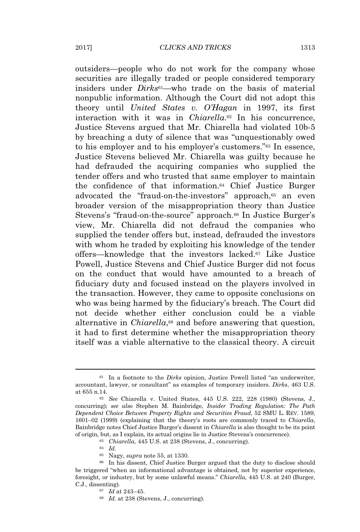outsiders—people who do not work for the company whose securities are illegally traded or people considered temporary insiders under *Dirks*61—who trade on the basis of material nonpublic information. Although the Court did not adopt this theory until *United States v. O'Hagan* in 1997, its first interaction with it was in *Chiarella*. <sup>62</sup> In his concurrence, Justice Stevens argued that Mr. Chiarella had violated 10b-5 by breaching a duty of silence that was "unquestionably owed to his employer and to his employer's customers."<sup>63</sup> In essence, Justice Stevens believed Mr. Chiarella was guilty because he had defrauded the acquiring companies who supplied the tender offers and who trusted that same employer to maintain the confidence of that information.<sup>64</sup> Chief Justice Burger advocated the "fraud-on-the-investors" approach,<sup>65</sup> an even broader version of the misappropriation theory than Justice Stevens's "fraud-on-the-source" approach.<sup>66</sup> In Justice Burger's view, Mr. Chiarella did not defraud the companies who supplied the tender offers but, instead, defrauded the investors with whom he traded by exploiting his knowledge of the tender offers—knowledge that the investors lacked.<sup>67</sup> Like Justice Powell, Justice Stevens and Chief Justice Burger did not focus on the conduct that would have amounted to a breach of fiduciary duty and focused instead on the players involved in the transaction. However, they came to opposite conclusions on who was being harmed by the fiduciary's breach. The Court did not decide whether either conclusion could be a viable alternative in *Chiarella*,<sup>68</sup> and before answering that question, it had to first determine whether the misappropriation theory itself was a viable alternative to the classical theory. A circuit

<sup>61</sup> In a footnote to the *Dirks* opinion, Justice Powell listed "an underwriter, accountant, lawyer, or consultant" as examples of temporary insiders. *Dirks*, 463 U.S. at 655 n.14.

<sup>62</sup> *See* Chiarella v. United States, 445 U.S. 222, 228 (1980) (Stevens, J., concurring); *see also* Stephen M. Bainbridge, *Insider Trading Regulation: The Path Dependent Choice Between Property Rights and Securities Fraud*, 52 SMU L. REV. 1589, 1601–02 (1999) (explaining that the theory's roots are commonly traced to *Chiarella*, Bainbridge notes Chief Justice Burger's dissent in *Chiarella* is also thought to be its point of origin, but, as I explain, its actual origins lie in Justice Stevens's concurrence).

<sup>63</sup> *Chiarella*, 445 U.S. at 238 (Stevens, J., concurring).

<sup>64</sup> *Id.*

<sup>65</sup> Nagy, *supra* note 55, at 1330.

<sup>66</sup> In his dissent, Chief Justice Burger argued that the duty to disclose should be triggered "when an informational advantage is obtained, not by superior experience, foresight, or industry, but by some unlawful means." *Chiarella*, 445 U.S. at 240 (Burger, C.J., dissenting).

<sup>67</sup> *Id* at 243–45.

<sup>68</sup> *Id.* at 238 (Stevens, J., concurring).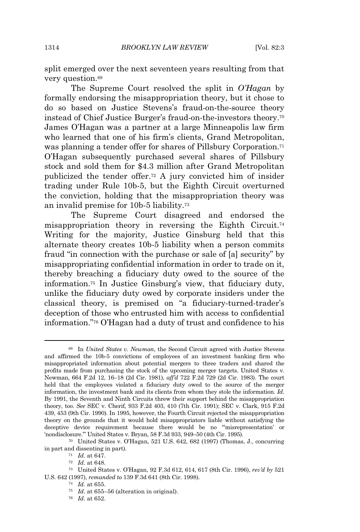split emerged over the next seventeen years resulting from that very question.<sup>69</sup>

The Supreme Court resolved the split in *O'Hagan* by formally endorsing the misappropriation theory, but it chose to do so based on Justice Stevens's fraud-on-the-source theory instead of Chief Justice Burger's fraud-on-the-investors theory.<sup>70</sup> James O'Hagan was a partner at a large Minneapolis law firm who learned that one of his firm's clients, Grand Metropolitan, was planning a tender offer for shares of Pillsbury Corporation.<sup>71</sup> O'Hagan subsequently purchased several shares of Pillsbury stock and sold them for \$4.3 million after Grand Metropolitan publicized the tender offer.<sup>72</sup> A jury convicted him of insider trading under Rule 10b-5, but the Eighth Circuit overturned the conviction, holding that the misappropriation theory was an invalid premise for 10b-5 liability.<sup>73</sup>

The Supreme Court disagreed and endorsed the misappropriation theory in reversing the Eighth Circuit.<sup>74</sup> Writing for the majority, Justice Ginsburg held that this alternate theory creates 10b-5 liability when a person commits fraud "in connection with the purchase or sale of [a] security" by misappropriating confidential information in order to trade on it, thereby breaching a fiduciary duty owed to the source of the information.<sup>75</sup> In Justice Ginsburg's view, that fiduciary duty, unlike the fiduciary duty owed by corporate insiders under the classical theory, is premised on "a fiduciary-turned-trader's deception of those who entrusted him with access to confidential information." <sup>76</sup> O'Hagan had a duty of trust and confidence to his

<sup>76</sup> *Id.* at 652.

<sup>69</sup> In *United States v. Newman*, the Second Circuit agreed with Justice Stevens and affirmed the 10b-5 convictions of employees of an investment banking firm who misappropriated information about potential mergers to three traders and shared the profits made from purchasing the stock of the upcoming merger targets. United States v. Newman, 664 F.2d 12, 16–18 (2d Cir. 1981), *aff'd* 722 F.2d 729 (2d Cir. 1983). The court held that the employees violated a fiduciary duty owed to the source of the merger information, the investment bank and its clients from whom they stole the information. *Id.* By 1991, the Seventh and Ninth Circuits threw their support behind the misappropriation theory, too. *See* SEC v. Cherif, 933 F.2d 403, 410 (7th Cir. 1991); SEC v. Clark, 915 F.2d 439, 453 (9th Cir. 1990). In 1995, however, the Fourth Circuit rejected the misappropriation theory on the grounds that it would hold misappropriators liable without satisfying the deceptive device requirement because there would be no "'misrepresentation' or 'nondisclosure.'" United States v. Bryan, 58 F.3d 933, 949–50 (4th Cir. 1995).

<sup>70</sup> United States v. O'Hagan, 521 U.S. 642, 682 (1997) (Thomas, J., concurring in part and dissenting in part).

<sup>71</sup> *Id.* at 647.

<sup>72</sup> *Id.* at 648.

<sup>73</sup> United States v. O'Hagan, 92 F.3d 612, 614, 617 (8th Cir. 1996), *rev'd by* 521 U.S. 642 (1997), *remanded to* 139 F.3d 641 (8th Cir. 1998).

<sup>74</sup> *Id.* at 655.

<sup>75</sup> *Id.* at 655–56 (alteration in original).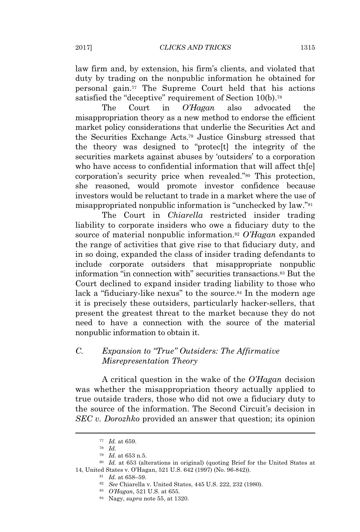law firm and, by extension, his firm's clients, and violated that duty by trading on the nonpublic information he obtained for personal gain.<sup>77</sup> The Supreme Court held that his actions satisfied the "deceptive" requirement of Section 10(b).<sup>78</sup>

The Court in *O'Hagan* also advocated the misappropriation theory as a new method to endorse the efficient market policy considerations that underlie the Securities Act and the Securities Exchange Acts.<sup>79</sup> Justice Ginsburg stressed that the theory was designed to "protec[t] the integrity of the securities markets against abuses by 'outsiders' to a corporation who have access to confidential information that will affect th[e] corporation's security price when revealed."<sup>80</sup> This protection, she reasoned, would promote investor confidence because investors would be reluctant to trade in a market where the use of misappropriated nonpublic information is "unchecked by law."<sup>81</sup>

The Court in *Chiarella* restricted insider trading liability to corporate insiders who owe a fiduciary duty to the source of material nonpublic information.<sup>82</sup> *O'Hagan* expanded the range of activities that give rise to that fiduciary duty, and in so doing, expanded the class of insider trading defendants to include corporate outsiders that misappropriate nonpublic information "in connection with" securities transactions.<sup>83</sup> But the Court declined to expand insider trading liability to those who lack a "fiduciary-like nexus" to the source.<sup>84</sup> In the modern age it is precisely these outsiders, particularly hacker-sellers, that present the greatest threat to the market because they do not need to have a connection with the source of the material nonpublic information to obtain it.

## *C. Expansion to "True" Outsiders: The Affirmative Misrepresentation Theory*

A critical question in the wake of the *O'Hagan* decision was whether the misappropriation theory actually applied to true outside traders, those who did not owe a fiduciary duty to the source of the information. The Second Circuit's decision in *SEC v. Dorozhko* provided an answer that question; its opinion

<sup>77</sup> *Id.* at 659.

<sup>78</sup> *Id.*

<sup>79</sup> *Id.* at 653 n.5.

<sup>80</sup> *Id.* at 653 (alterations in original) (quoting Brief for the United States at 14, United States v. O'Hagan, 521 U.S. 642 (1997) (No. 96-842)).

<sup>81</sup> *Id.* at 658–59.

<sup>82</sup> *See* Chiarella v. United States, 445 U.S. 222, 232 (1980).

<sup>83</sup> *O'Hagan*, 521 U.S. at 655.

<sup>84</sup> Nagy, *supra* note 55, at 1320.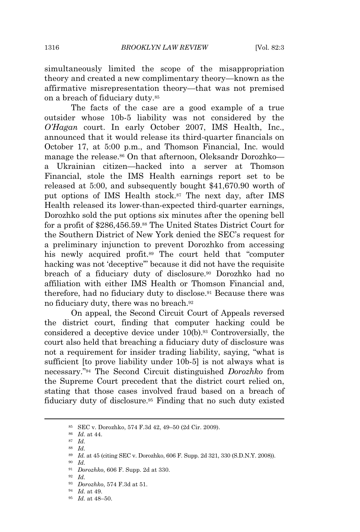simultaneously limited the scope of the misappropriation theory and created a new complimentary theory—known as the affirmative misrepresentation theory—that was not premised on a breach of fiduciary duty.<sup>85</sup>

The facts of the case are a good example of a true outsider whose 10b-5 liability was not considered by the *O'Hagan* court. In early October 2007, IMS Health, Inc., announced that it would release its third-quarter financials on October 17, at 5:00 p.m., and Thomson Financial, Inc. would manage the release.<sup>86</sup> On that afternoon, Oleksandr Dorozhko a Ukrainian citizen—hacked into a server at Thomson Financial, stole the IMS Health earnings report set to be released at 5:00, and subsequently bought \$41,670.90 worth of put options of IMS Health stock.<sup>87</sup> The next day, after IMS Health released its lower-than-expected third-quarter earnings, Dorozhko sold the put options six minutes after the opening bell for a profit of \$286,456.59.<sup>88</sup> The United States District Court for the Southern District of New York denied the SEC's request for a preliminary injunction to prevent Dorozhko from accessing his newly acquired profit.<sup>89</sup> The court held that "computer hacking was not 'deceptive'" because it did not have the requisite breach of a fiduciary duty of disclosure.<sup>90</sup> Dorozhko had no affiliation with either IMS Health or Thomson Financial and, therefore, had no fiduciary duty to disclose.<sup>91</sup> Because there was no fiduciary duty, there was no breach.<sup>92</sup>

On appeal, the Second Circuit Court of Appeals reversed the district court, finding that computer hacking could be considered a deceptive device under 10(b).<sup>93</sup> Controversially, the court also held that breaching a fiduciary duty of disclosure was not a requirement for insider trading liability, saying, "what is sufficient [to prove liability under 10b-5] is not always what is necessary." <sup>94</sup> The Second Circuit distinguished *Dorozhko* from the Supreme Court precedent that the district court relied on, stating that those cases involved fraud based on a breach of fiduciary duty of disclosure.<sup>95</sup> Finding that no such duty existed

<sup>85</sup> SEC v. Dorozhko, 574 F.3d 42, 49–50 (2d Cir. 2009).

<sup>86</sup> *Id.* at 44.

<sup>87</sup> *Id.*

<sup>88</sup> *Id.*

<sup>89</sup> *Id.* at 45 (citing SEC v. Dorozhko, 606 F. Supp. 2d 321, 330 (S.D.N.Y. 2008)).

<sup>90</sup> *Id.*

<sup>91</sup> *Dorozhko*, 606 F. Supp. 2d at 330.

<sup>92</sup> *Id.*

<sup>93</sup> *Dorozhko*, 574 F.3d at 51.

<sup>94</sup> *Id.* at 49.

<sup>95</sup> *Id.* at 48–50.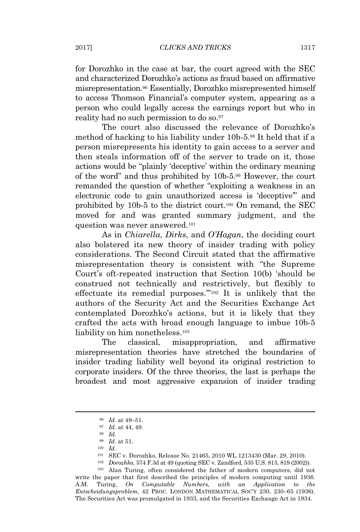for Dorozhko in the case at bar, the court agreed with the SEC and characterized Dorozhko's actions as fraud based on affirmative misrepresentation.<sup>96</sup> Essentially, Dorozhko misrepresented himself to access Thomson Financial's computer system, appearing as a person who could legally access the earnings report but who in reality had no such permission to do so.<sup>97</sup>

The court also discussed the relevance of Dorozhko's method of hacking to his liability under 10b-5.<sup>98</sup> It held that if a person misrepresents his identity to gain access to a server and then steals information off of the server to trade on it, those actions would be "plainly 'deceptive' within the ordinary meaning of the word" and thus prohibited by 10b-5.<sup>99</sup> However, the court remanded the question of whether "exploiting a weakness in an electronic code to gain unauthorized access is 'deceptive'" and prohibited by 10b-5 to the district court.<sup>100</sup> On remand, the SEC moved for and was granted summary judgment, and the question was never answered.<sup>101</sup>

As in *Chiarella*, *Dirks*, and *O'Hagan*, the deciding court also bolstered its new theory of insider trading with policy considerations. The Second Circuit stated that the affirmative misrepresentation theory is consistent with "the Supreme Court's oft-repeated instruction that Section 10(b) 'should be construed not technically and restrictively, but flexibly to effectuate its remedial purposes.'"<sup>102</sup> It is unlikely that the authors of the Security Act and the Securities Exchange Act contemplated Dorozhko's actions, but it is likely that they crafted the acts with broad enough language to imbue 10b-5 liability on him nonetheless.<sup>103</sup>

The classical, misappropriation, and affirmative misrepresentation theories have stretched the boundaries of insider trading liability well beyond its original restriction to corporate insiders. Of the three theories, the last is perhaps the broadest and most aggressive expansion of insider trading

<sup>99</sup> *Id.* at 51.

<sup>102</sup> *Dorozhko*, 574 F.3d at 49 (quoting SEC v. Zandford, 535 U.S. 813, 819 (2002)).

<sup>103</sup> Alan Turing, often considered the father of modern computers, did not write the paper that first described the principles of modern computing until 1936. A.M. Turing, *On Computable Numbers, with an Application to the Entscheidungsproblem*, 42 PROC. LONDON MATHEMATICAL SOC'<sup>Y</sup> 230, 230–65 (1936). The Securities Act was promulgated in 1933, and the Securities Exchange Act in 1934.

<sup>96</sup> *Id.* at 49–51.

<sup>97</sup> *Id.* at 44, 49.

<sup>98</sup> *Id.*

<sup>100</sup> *Id.*

<sup>101</sup> SEC v. Dorozhko, Release No. 21465, 2010 WL 1213430 (Mar. 29, 2010).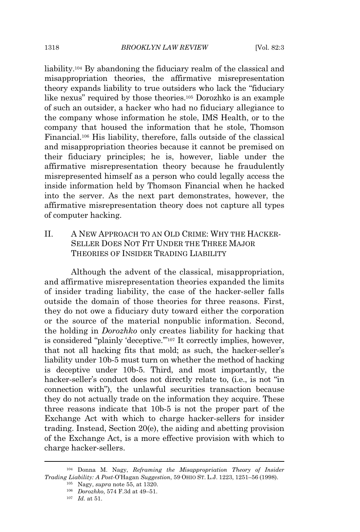liability.<sup>104</sup> By abandoning the fiduciary realm of the classical and misappropriation theories, the affirmative misrepresentation theory expands liability to true outsiders who lack the "fiduciary like nexus" required by those theories.<sup>105</sup> Dorozhko is an example of such an outsider, a hacker who had no fiduciary allegiance to the company whose information he stole, IMS Health, or to the company that housed the information that he stole, Thomson Financial.<sup>106</sup> His liability, therefore, falls outside of the classical and misappropriation theories because it cannot be premised on their fiduciary principles; he is, however, liable under the affirmative misrepresentation theory because he fraudulently misrepresented himself as a person who could legally access the inside information held by Thomson Financial when he hacked into the server. As the next part demonstrates, however, the affirmative misrepresentation theory does not capture all types of computer hacking.

II. A NEW APPROACH TO AN OLD CRIME: WHY THE HACKER-SELLER DOES NOT FIT UNDER THE THREE MAJOR THEORIES OF INSIDER TRADING LIABILITY

Although the advent of the classical, misappropriation, and affirmative misrepresentation theories expanded the limits of insider trading liability, the case of the hacker-seller falls outside the domain of those theories for three reasons. First, they do not owe a fiduciary duty toward either the corporation or the source of the material nonpublic information. Second, the holding in *Dorozhko* only creates liability for hacking that is considered "plainly 'deceptive.'"<sup>107</sup> It correctly implies, however, that not all hacking fits that mold; as such, the hacker-seller's liability under 10b-5 must turn on whether the method of hacking is deceptive under 10b-5. Third, and most importantly, the hacker-seller's conduct does not directly relate to, (i.e., is not "in connection with"), the unlawful securities transaction because they do not actually trade on the information they acquire. These three reasons indicate that 10b-5 is not the proper part of the Exchange Act with which to charge hacker-sellers for insider trading. Instead, Section 20(e), the aiding and abetting provision of the Exchange Act, is a more effective provision with which to charge hacker-sellers.

<sup>104</sup> Donna M. Nagy, *Reframing the Misappropriation Theory of Insider Trading Liability: A Post-*O'Hagan *Suggestion*, 59 OHIO ST. L.J. 1223, 1251–56 (1998).

<sup>105</sup> Nagy, *supra* note 55, at 1320.

<sup>106</sup> *Dorozhko*, 574 F.3d at 49–51.

<sup>107</sup> *Id.* at 51.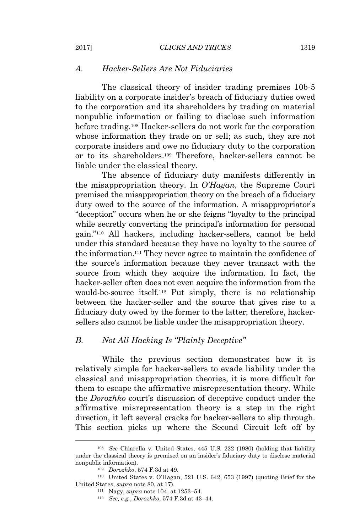#### *A. Hacker-Sellers Are Not Fiduciaries*

The classical theory of insider trading premises 10b-5 liability on a corporate insider's breach of fiduciary duties owed to the corporation and its shareholders by trading on material nonpublic information or failing to disclose such information before trading.<sup>108</sup> Hacker-sellers do not work for the corporation whose information they trade on or sell; as such, they are not corporate insiders and owe no fiduciary duty to the corporation or to its shareholders.<sup>109</sup> Therefore, hacker-sellers cannot be liable under the classical theory.

The absence of fiduciary duty manifests differently in the misappropriation theory. In *O'Hagan*, the Supreme Court premised the misappropriation theory on the breach of a fiduciary duty owed to the source of the information. A misappropriator's "deception" occurs when he or she feigns "loyalty to the principal while secretly converting the principal's information for personal gain."<sup>110</sup> All hackers, including hacker-sellers, cannot be held under this standard because they have no loyalty to the source of the information.<sup>111</sup> They never agree to maintain the confidence of the source's information because they never transact with the source from which they acquire the information. In fact, the hacker-seller often does not even acquire the information from the would-be-source itself.<sup>112</sup> Put simply, there is no relationship between the hacker-seller and the source that gives rise to a fiduciary duty owed by the former to the latter; therefore, hackersellers also cannot be liable under the misappropriation theory.

#### *B. Not All Hacking Is "Plainly Deceptive"*

While the previous section demonstrates how it is relatively simple for hacker-sellers to evade liability under the classical and misappropriation theories, it is more difficult for them to escape the affirmative misrepresentation theory. While the *Dorozhko* court's discussion of deceptive conduct under the affirmative misrepresentation theory is a step in the right direction, it left several cracks for hacker-sellers to slip through. This section picks up where the Second Circuit left off by

<sup>108</sup> *See* Chiarella v. United States, 445 U.S. 222 (1980) (holding that liability under the classical theory is premised on an insider's fiduciary duty to disclose material nonpublic information).

<sup>109</sup> *Dorozhko*, 574 F.3d at 49.

<sup>110</sup> United States v. O'Hagan, 521 U.S. 642, 653 (1997) (quoting Brief for the United States, *supra* note 80, at 17).

<sup>111</sup> Nagy, *supra* note 104, at 1253–54.

<sup>112</sup> *See, e.g.*, *Dorozhko*, 574 F.3d at 43–44.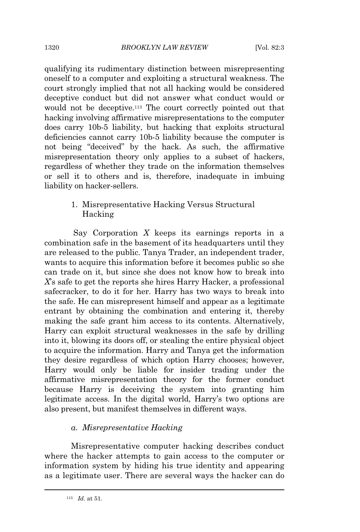qualifying its rudimentary distinction between misrepresenting oneself to a computer and exploiting a structural weakness. The court strongly implied that not all hacking would be considered deceptive conduct but did not answer what conduct would or would not be deceptive.<sup>113</sup> The court correctly pointed out that hacking involving affirmative misrepresentations to the computer does carry 10b-5 liability, but hacking that exploits structural deficiencies cannot carry 10b-5 liability because the computer is not being "deceived" by the hack. As such, the affirmative misrepresentation theory only applies to a subset of hackers, regardless of whether they trade on the information themselves or sell it to others and is, therefore, inadequate in imbuing liability on hacker-sellers.

> 1. Misrepresentative Hacking Versus Structural Hacking

Say Corporation *X* keeps its earnings reports in a combination safe in the basement of its headquarters until they are released to the public. Tanya Trader, an independent trader, wants to acquire this information before it becomes public so she can trade on it, but since she does not know how to break into *X*'s safe to get the reports she hires Harry Hacker, a professional safecracker, to do it for her. Harry has two ways to break into the safe. He can misrepresent himself and appear as a legitimate entrant by obtaining the combination and entering it, thereby making the safe grant him access to its contents. Alternatively, Harry can exploit structural weaknesses in the safe by drilling into it, blowing its doors off, or stealing the entire physical object to acquire the information. Harry and Tanya get the information they desire regardless of which option Harry chooses; however, Harry would only be liable for insider trading under the affirmative misrepresentation theory for the former conduct because Harry is deceiving the system into granting him legitimate access. In the digital world, Harry's two options are also present, but manifest themselves in different ways.

#### *a. Misrepresentative Hacking*

Misrepresentative computer hacking describes conduct where the hacker attempts to gain access to the computer or information system by hiding his true identity and appearing as a legitimate user. There are several ways the hacker can do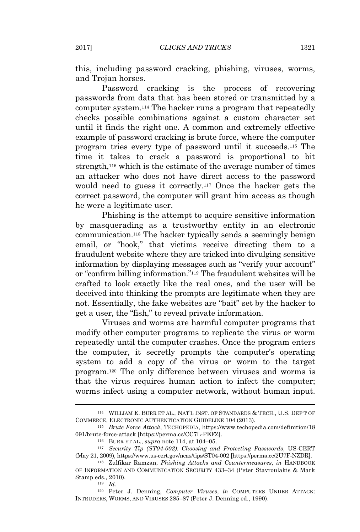this, including password cracking, phishing, viruses, worms, and Trojan horses.

Password cracking is the process of recovering passwords from data that has been stored or transmitted by a computer system.<sup>114</sup> The hacker runs a program that repeatedly checks possible combinations against a custom character set until it finds the right one. A common and extremely effective example of password cracking is brute force, where the computer program tries every type of password until it succeeds.<sup>115</sup> The time it takes to crack a password is proportional to bit strength,<sup>116</sup> which is the estimate of the average number of times an attacker who does not have direct access to the password would need to guess it correctly.<sup>117</sup> Once the hacker gets the correct password, the computer will grant him access as though he were a legitimate user.

Phishing is the attempt to acquire sensitive information by masquerading as a trustworthy entity in an electronic communication.<sup>118</sup> The hacker typically sends a seemingly benign email, or "hook," that victims receive directing them to a fraudulent website where they are tricked into divulging sensitive information by displaying messages such as "verify your account" or "confirm billing information."<sup>119</sup> The fraudulent websites will be crafted to look exactly like the real ones, and the user will be deceived into thinking the prompts are legitimate when they are not. Essentially, the fake websites are "bait" set by the hacker to get a user, the "fish," to reveal private information.

Viruses and worms are harmful computer programs that modify other computer programs to replicate the virus or worm repeatedly until the computer crashes. Once the program enters the computer, it secretly prompts the computer's operating system to add a copy of the virus or worm to the target program.<sup>120</sup> The only difference between viruses and worms is that the virus requires human action to infect the computer; worms infect using a computer network, without human input.

<sup>119</sup> *Id.*

<sup>120</sup> Peter J. Denning, *Computer Viruses*, *in* COMPUTERS UNDER ATTACK: INTRUDERS, WORMS, AND VIRUSES 285–87 (Peter J. Denning ed., 1990).

<sup>114</sup> WILLIAM E. BURR ET AL., NAT'L INST. OF STANDARDS & TECH., U.S. DEP'T OF COMMERCE, ELECTRONIC AUTHENTICATION GUIDELINE 104 (2013).

<sup>115</sup> *Brute Force Attack*, TECHOPEDIA, https://www.techopedia.com/definition/18 091/brute-force-attack [https://perma.cc/CC7L-PEFZ].

<sup>116</sup> BURR ET AL., *supra* note 114, at 104–05.

<sup>117</sup> *Security Tip (ST04-002): Choosing and Protecting Passwords*, US-CERT (May 21, 2009), https://www.us-cert.gov/ncas/tips/ST04-002 [https://perma.cc/2U7F-NZDR].

<sup>118</sup> Zulfikar Ramzan, *Phishing Attacks and Countermeasures*, *in* HANDBOOK OF INFORMATION AND COMMUNICATION SECURITY 433–34 (Peter Stavroulakis & Mark Stamp eds., 2010).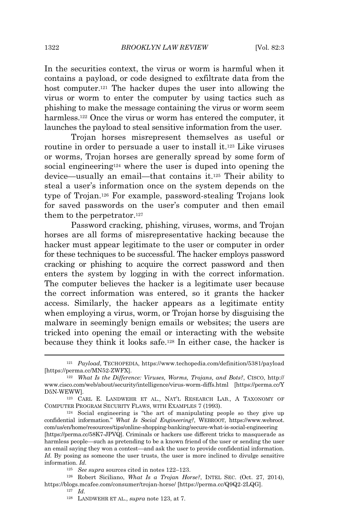In the securities context, the virus or worm is harmful when it contains a payload, or code designed to exfiltrate data from the host computer.<sup>121</sup> The hacker dupes the user into allowing the virus or worm to enter the computer by using tactics such as phishing to make the message containing the virus or worm seem harmless.<sup>122</sup> Once the virus or worm has entered the computer, it launches the payload to steal sensitive information from the user.

Trojan horses misrepresent themselves as useful or routine in order to persuade a user to install it.<sup>123</sup> Like viruses or worms, Trojan horses are generally spread by some form of social engineering<sup>124</sup> where the user is duped into opening the device—usually an email—that contains it.<sup>125</sup> Their ability to steal a user's information once on the system depends on the type of Trojan.<sup>126</sup> For example, password-stealing Trojans look for saved passwords on the user's computer and then email them to the perpetrator.<sup>127</sup>

Password cracking, phishing, viruses, worms, and Trojan horses are all forms of misrepresentative hacking because the hacker must appear legitimate to the user or computer in order for these techniques to be successful. The hacker employs password cracking or phishing to acquire the correct password and then enters the system by logging in with the correct information. The computer believes the hacker is a legitimate user because the correct information was entered, so it grants the hacker access. Similarly, the hacker appears as a legitimate entity when employing a virus, worm, or Trojan horse by disguising the malware in seemingly benign emails or websites; the users are tricked into opening the email or interacting with the website because they think it looks safe.<sup>128</sup> In either case, the hacker is

<sup>121</sup> *Payload*, TECHOPEDIA, https://www.techopedia.com/definition/5381/payload [https://perma.cc/MN52-ZWFX].

<sup>122</sup> *What Is the Difference: Viruses, Worms, Trojans, and Bots?*, CISCO, http:// www.cisco.com/web/about/security/intelligence/virus-worm-diffs.html [https://perma.cc/Y D5N-WEWW].

<sup>123</sup> CARL E. LANDWEHR ET AL., NAT'L RESEARCH LAB., A TAXONOMY OF COMPUTER PROGRAM SECURITY FLAWS, WITH EXAMPLES 7 (1993).

<sup>124</sup> Social engineering is "the art of manipulating people so they give up confidential information." *What Is Social Engineering?*, WEBROOT, https://www.webroot. com/us/en/home/resources/tips/online-shopping-banking/secure-what-is-social-engineering

<sup>[</sup>https://perma.cc/58K7-JPVQ]. Criminals or hackers use different tricks to masquerade as harmless people—such as pretending to be a known friend of the user or sending the user an email saying they won a contest—and ask the user to provide confidential information. *Id.* By posing as someone the user trusts, the user is more inclined to divulge sensitive information. *Id.*

<sup>125</sup> *See supra* sources cited in notes 122–123.

<sup>126</sup> Robert Siciliano, *What Is a Trojan Horse?*, INTEL SEC. (Oct. 27, 2014), https://blogs.mcafee.com/consumer/trojan-horse/ [https://perma.cc/Q9Q2-2LQG].

<sup>127</sup> *Id.*

<sup>128</sup> LANDWEHR ET AL., *supra* note 123, at 7.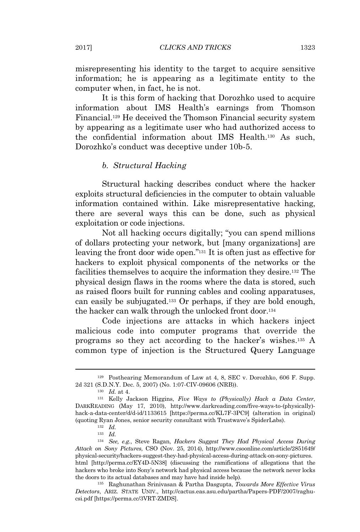misrepresenting his identity to the target to acquire sensitive information; he is appearing as a legitimate entity to the computer when, in fact, he is not.

It is this form of hacking that Dorozhko used to acquire information about IMS Health's earnings from Thomson Financial.<sup>129</sup> He deceived the Thomson Financial security system by appearing as a legitimate user who had authorized access to the confidential information about IMS Health.<sup>130</sup> As such, Dorozhko's conduct was deceptive under 10b-5.

#### *b. Structural Hacking*

Structural hacking describes conduct where the hacker exploits structural deficiencies in the computer to obtain valuable information contained within. Like misrepresentative hacking, there are several ways this can be done, such as physical exploitation or code injections.

Not all hacking occurs digitally; "you can spend millions of dollars protecting your network, but [many organizations] are leaving the front door wide open."<sup>131</sup> It is often just as effective for hackers to exploit physical components of the networks or the facilities themselves to acquire the information they desire.<sup>132</sup> The physical design flaws in the rooms where the data is stored, such as raised floors built for running cables and cooling apparatuses, can easily be subjugated.<sup>133</sup> Or perhaps, if they are bold enough, the hacker can walk through the unlocked front door.<sup>134</sup>

Code injections are attacks in which hackers inject malicious code into computer programs that override the programs so they act according to the hacker's wishes.<sup>135</sup> A common type of injection is the Structured Query Language

<sup>135</sup> Raghunathan Srinivasan & Partha Dasgupta, *Towards More Effective Virus Detectors*, ARIZ. STATE UNIV., http://cactus.eas.asu.edu/partha/Papers-PDF/2007/raghucsi.pdf [https://perma.cc/3VRT-ZMDS].

<sup>129</sup> Posthearing Memorandum of Law at 4, 8, SEC v. Dorozhko, 606 F. Supp. 2d 321 (S.D.N.Y. Dec. 5, 2007) (No. 1:07-CIV-09606 (NRB)).

<sup>130</sup> *Id.* at 4.

<sup>131</sup> Kelly Jackson Higgins, *Five Ways to (Physically) Hack a Data Center*, DARKREADING (May 17, 2010), http://www.darkreading.com/five-ways-to-(physically) hack-a-data-center/d/d-id/1133615 [https://perma.cc/KL7F-3PC9] (alteration in original) (quoting Ryan Jones, senior security consultant with Trustwave's SpiderLabs).

<sup>132</sup> *Id.*

<sup>133</sup> *Id.*

<sup>134</sup> *See, e.g.*, Steve Ragan, *Hackers Suggest They Had Physical Access During Attack on Sony Pictures*, CSO (Nov. 25, 2014), http://www.csoonline.com/article/2851649/ physical-security/hackers-suggest-they-had-physical-access-during-attack-on-sony-pictures. html [http://perma.cc/EY4D-5N38] (discussing the ramifications of allegations that the hackers who broke into Sony's network had physical access because the network never locks the doors to its actual databases and may have had inside help).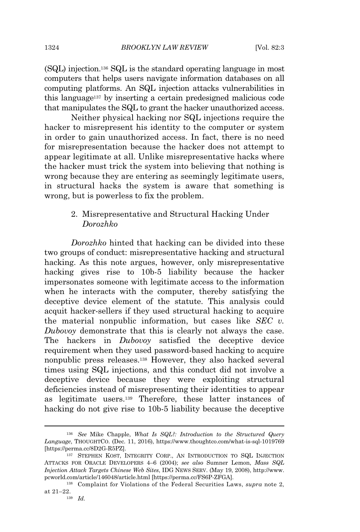(SQL) injection.<sup>136</sup> SQL is the standard operating language in most computers that helps users navigate information databases on all computing platforms. An SQL injection attacks vulnerabilities in this language<sup>137</sup> by inserting a certain predesigned malicious code that manipulates the SQL to grant the hacker unauthorized access.

Neither physical hacking nor SQL injections require the hacker to misrepresent his identity to the computer or system in order to gain unauthorized access. In fact, there is no need for misrepresentation because the hacker does not attempt to appear legitimate at all. Unlike misrepresentative hacks where the hacker must trick the system into believing that nothing is wrong because they are entering as seemingly legitimate users, in structural hacks the system is aware that something is wrong, but is powerless to fix the problem.

# 2. Misrepresentative and Structural Hacking Under *Dorozhko*

*Dorozhko* hinted that hacking can be divided into these two groups of conduct: misrepresentative hacking and structural hacking. As this note argues, however, only misrepresentative hacking gives rise to 10b-5 liability because the hacker impersonates someone with legitimate access to the information when he interacts with the computer, thereby satisfying the deceptive device element of the statute. This analysis could acquit hacker-sellers if they used structural hacking to acquire the material nonpublic information, but cases like *SEC v. Dubovoy* demonstrate that this is clearly not always the case. The hackers in *Dubovoy* satisfied the deceptive device requirement when they used password-based hacking to acquire nonpublic press releases.<sup>138</sup> However, they also hacked several times using SQL injections, and this conduct did not involve a deceptive device because they were exploiting structural deficiencies instead of misrepresenting their identities to appear as legitimate users.<sup>139</sup> Therefore, these latter instances of hacking do not give rise to 10b-5 liability because the deceptive

<sup>136</sup> *See* Mike Chapple, *What Is SQL?: Introduction to the Structured Query Language*, THOUGHTCO. (Dec. 11, 2016), https://www.thoughtco.com/what-is-sql-1019769 [https://perma.cc/8D2G-R5PZ].

<sup>137</sup> STEPHEN KOST, INTEGRITY CORP., AN INTRODUCTION TO SQL INJECTION ATTACKS FOR ORACLE DEVELOPERS 4–6 (2004); *see also* Sumner Lemon, *Mass SQL Injection Attack Targets Chinese Web Sites*, IDG NEWS SERV. (May 19, 2008), http://www. pcworld.com/article/146048/article.html [https://perma.cc/FS6P-ZFGA].

<sup>138</sup> Complaint for Violations of the Federal Securities Laws, *supra* note 2, at 21–22.

<sup>139</sup> *Id.*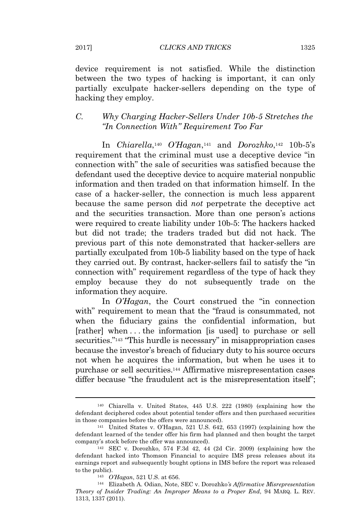device requirement is not satisfied. While the distinction between the two types of hacking is important, it can only partially exculpate hacker-sellers depending on the type of hacking they employ.

# *C. Why Charging Hacker-Sellers Under 10b-5 Stretches the "In Connection With" Requirement Too Far*

In *Chiarella*, <sup>140</sup> *O'Hagan*, <sup>141</sup> and *Dorozhko*, <sup>142</sup> 10b-5's requirement that the criminal must use a deceptive device "in connection with" the sale of securities was satisfied because the defendant used the deceptive device to acquire material nonpublic information and then traded on that information himself. In the case of a hacker-seller, the connection is much less apparent because the same person did *not* perpetrate the deceptive act and the securities transaction. More than one person's actions were required to create liability under 10b-5: The hackers hacked but did not trade; the traders traded but did not hack. The previous part of this note demonstrated that hacker-sellers are partially exculpated from 10b-5 liability based on the type of hack they carried out. By contrast, hacker-sellers fail to satisfy the "in connection with" requirement regardless of the type of hack they employ because they do not subsequently trade on the information they acquire.

In *O'Hagan*, the Court construed the "in connection with" requirement to mean that the "fraud is consummated, not when the fiduciary gains the confidential information, but [rather] when . . . the information [is used] to purchase or sell securities."<sup>143</sup> "This hurdle is necessary" in misappropriation cases because the investor's breach of fiduciary duty to his source occurs not when he acquires the information, but when he uses it to purchase or sell securities.<sup>144</sup> Affirmative misrepresentation cases differ because "the fraudulent act is the misrepresentation itself";

<sup>140</sup> Chiarella v. United States, 445 U.S. 222 (1980) (explaining how the defendant deciphered codes about potential tender offers and then purchased securities in those companies before the offers were announced).

<sup>141</sup> United States v. O'Hagan, 521 U.S. 642, 653 (1997) (explaining how the defendant learned of the tender offer his firm had planned and then bought the target company's stock before the offer was announced).

 $142$  SEC v. Dorozhko, 574 F.3d 42, 44 (2d Cir. 2009) (explaining how the defendant hacked into Thomson Financial to acquire IMS press releases about its earnings report and subsequently bought options in IMS before the report was released to the public).

<sup>143</sup> *O'Hagan*, 521 U.S. at 656.

<sup>144</sup> Elizabeth A. Odian, Note, SEC v. Dorozhko*'s Affirmative Misrepresentation Theory of Insider Trading: An Improper Means to a Proper End*, 94 MARQ. L. REV. 1313, 1337 (2011).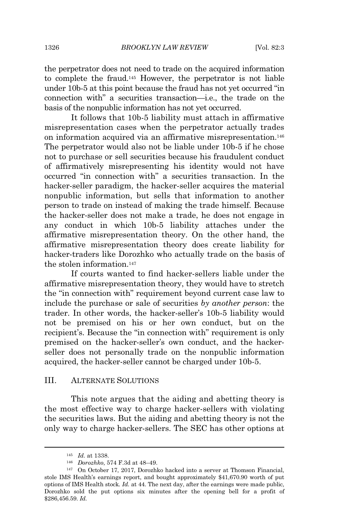the perpetrator does not need to trade on the acquired information to complete the fraud.<sup>145</sup> However, the perpetrator is not liable under 10b-5 at this point because the fraud has not yet occurred "in connection with" a securities transaction—i.e., the trade on the basis of the nonpublic information has not yet occurred.

It follows that 10b-5 liability must attach in affirmative misrepresentation cases when the perpetrator actually trades on information acquired via an affirmative misrepresentation.<sup>146</sup> The perpetrator would also not be liable under 10b-5 if he chose not to purchase or sell securities because his fraudulent conduct of affirmatively misrepresenting his identity would not have occurred "in connection with" a securities transaction. In the hacker-seller paradigm, the hacker-seller acquires the material nonpublic information, but sells that information to another person to trade on instead of making the trade himself. Because the hacker-seller does not make a trade, he does not engage in any conduct in which 10b-5 liability attaches under the affirmative misrepresentation theory. On the other hand, the affirmative misrepresentation theory does create liability for hacker-traders like Dorozhko who actually trade on the basis of the stolen information.<sup>147</sup>

If courts wanted to find hacker-sellers liable under the affirmative misrepresentation theory, they would have to stretch the "in connection with" requirement beyond current case law to include the purchase or sale of securities *by another person*: the trader. In other words, the hacker-seller's 10b-5 liability would not be premised on his or her own conduct, but on the recipient's. Because the "in connection with" requirement is only premised on the hacker-seller's own conduct, and the hackerseller does not personally trade on the nonpublic information acquired, the hacker-seller cannot be charged under 10b-5.

#### III. ALTERNATE SOLUTIONS

This note argues that the aiding and abetting theory is the most effective way to charge hacker-sellers with violating the securities laws. But the aiding and abetting theory is not the only way to charge hacker-sellers. The SEC has other options at

<sup>145</sup> *Id.* at 1338.

<sup>146</sup> *Dorozhko*, 574 F.3d at 48–49.

<sup>147</sup> On October 17, 2017, Dorozhko hacked into a server at Thomson Financial, stole IMS Health's earnings report, and bought approximately \$41,670.90 worth of put options of IMS Health stock*. Id.* at 44. The next day, after the earnings were made public, Dorozhko sold the put options six minutes after the opening bell for a profit of \$286,456.59. *Id.*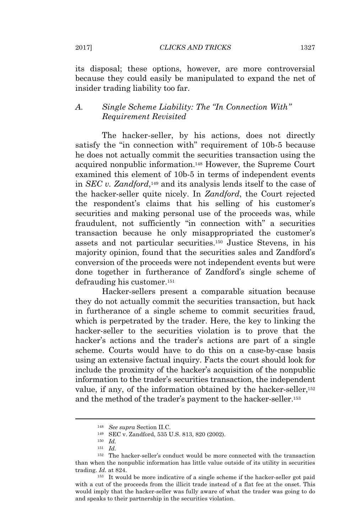its disposal; these options, however, are more controversial because they could easily be manipulated to expand the net of insider trading liability too far.

#### *A. Single Scheme Liability: The "In Connection With" Requirement Revisited*

The hacker-seller, by his actions, does not directly satisfy the "in connection with" requirement of 10b-5 because he does not actually commit the securities transaction using the acquired nonpublic information.<sup>148</sup> However, the Supreme Court examined this element of 10b-5 in terms of independent events in *SEC v. Zandford*, <sup>149</sup> and its analysis lends itself to the case of the hacker-seller quite nicely. In *Zandford*, the Court rejected the respondent's claims that his selling of his customer's securities and making personal use of the proceeds was, while fraudulent, not sufficiently "in connection with" a securities transaction because he only misappropriated the customer's assets and not particular securities.<sup>150</sup> Justice Stevens, in his majority opinion, found that the securities sales and Zandford's conversion of the proceeds were not independent events but were done together in furtherance of Zandford's single scheme of defrauding his customer.<sup>151</sup>

Hacker-sellers present a comparable situation because they do not actually commit the securities transaction, but hack in furtherance of a single scheme to commit securities fraud, which is perpetrated by the trader. Here, the key to linking the hacker-seller to the securities violation is to prove that the hacker's actions and the trader's actions are part of a single scheme. Courts would have to do this on a case-by-case basis using an extensive factual inquiry. Facts the court should look for include the proximity of the hacker's acquisition of the nonpublic information to the trader's securities transaction, the independent value, if any, of the information obtained by the hacker-seller,<sup>152</sup> and the method of the trader's payment to the hacker-seller.<sup>153</sup>

<sup>148</sup> *See supra* Section II.C.

<sup>149</sup> SEC v. Zandford, 535 U.S. 813, 820 (2002).

<sup>150</sup> *Id.*

<sup>151</sup> *Id.*

<sup>152</sup> The hacker-seller's conduct would be more connected with the transaction than when the nonpublic information has little value outside of its utility in securities trading. *Id.* at 824.

<sup>153</sup> It would be more indicative of a single scheme if the hacker-seller got paid with a cut of the proceeds from the illicit trade instead of a flat fee at the onset. This would imply that the hacker-seller was fully aware of what the trader was going to do and speaks to their partnership in the securities violation.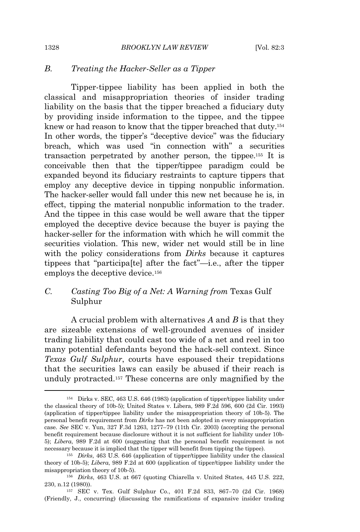### *B. Treating the Hacker-Seller as a Tipper*

Tipper-tippee liability has been applied in both the classical and misappropriation theories of insider trading liability on the basis that the tipper breached a fiduciary duty by providing inside information to the tippee, and the tippee knew or had reason to know that the tipper breached that duty.<sup>154</sup> In other words, the tipper's "deceptive device" was the fiduciary breach, which was used "in connection with" a securities transaction perpetrated by another person, the tippee.<sup>155</sup> It is conceivable then that the tipper/tippee paradigm could be expanded beyond its fiduciary restraints to capture tippers that employ any deceptive device in tipping nonpublic information. The hacker-seller would fall under this new net because he is, in effect, tipping the material nonpublic information to the trader. And the tippee in this case would be well aware that the tipper employed the deceptive device because the buyer is paying the hacker-seller for the information with which he will commit the securities violation. This new, wider net would still be in line with the policy considerations from *Dirks* because it captures tippees that "participa[te] after the fact"—i.e., after the tipper employs the deceptive device.<sup>156</sup>

# *C. Casting Too Big of a Net: A Warning from* Texas Gulf Sulphur

A crucial problem with alternatives *A* and *B* is that they are sizeable extensions of well-grounded avenues of insider trading liability that could cast too wide of a net and reel in too many potential defendants beyond the hack-sell context. Since *Texas Gulf Sulphur*, courts have espoused their trepidations that the securities laws can easily be abused if their reach is unduly protracted.<sup>157</sup> These concerns are only magnified by the

<sup>154</sup> Dirks v. SEC, 463 U.S. 646 (1983) (application of tipper/tippee liability under the classical theory of 10b-5); United States v. Libera, 989 F.2d 596, 600 (2d Cir. 1993) (application of tipper/tippee liability under the misappropriation theory of 10b-5). The personal benefit requirement from *Dirks* has not been adopted in every misappropriation case. *See* SEC v. Yun, 327 F.3d 1263, 1277–79 (11th Cir. 2003) (accepting the personal benefit requirement because disclosure without it is not sufficient for liability under 10b-5); *Libera*, 989 F.2d at 600 (suggesting that the personal benefit requirement is not necessary because it is implied that the tipper will benefit from tipping the tippee).

<sup>155</sup> *Dirks*, 463 U.S. 646 (application of tipper/tippee liability under the classical theory of 10b-5); *Libera*, 989 F.2d at 600 (application of tipper/tippee liability under the misappropriation theory of 10b-5).

<sup>156</sup> *Dirks*, 463 U.S. at 667 (quoting Chiarella v. United States, 445 U.S. 222, 230, n.12 (1980)).

<sup>157</sup> SEC v. Tex. Gulf Sulphur Co., 401 F.2d 833, 867–70 (2d Cir. 1968) (Friendly, J., concurring) (discussing the ramifications of expansive insider trading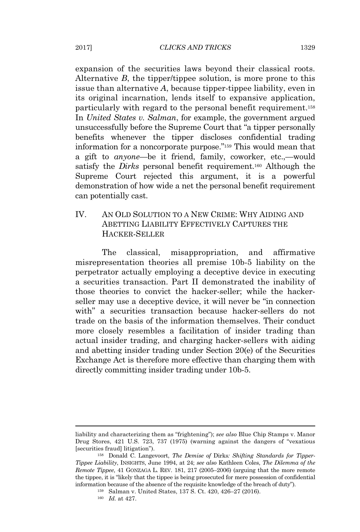expansion of the securities laws beyond their classical roots. Alternative *B*, the tipper/tippee solution, is more prone to this issue than alternative *A*, because tipper-tippee liability, even in its original incarnation, lends itself to expansive application, particularly with regard to the personal benefit requirement.<sup>158</sup> In *United States v. Salman*, for example, the government argued unsuccessfully before the Supreme Court that "a tipper personally benefits whenever the tipper discloses confidential trading information for a noncorporate purpose."<sup>159</sup> This would mean that a gift to *anyone*—be it friend, family, coworker, etc.,—would satisfy the *Dirks* personal benefit requirement.<sup>160</sup> Although the Supreme Court rejected this argument, it is a powerful demonstration of how wide a net the personal benefit requirement can potentially cast.

# IV. AN OLD SOLUTION TO A NEW CRIME: WHY AIDING AND ABETTING LIABILITY EFFECTIVELY CAPTURES THE HACKER-SELLER

The classical, misappropriation, and affirmative misrepresentation theories all premise 10b-5 liability on the perpetrator actually employing a deceptive device in executing a securities transaction. Part II demonstrated the inability of those theories to convict the hacker-seller; while the hackerseller may use a deceptive device, it will never be "in connection with" a securities transaction because hacker-sellers do not trade on the basis of the information themselves. Their conduct more closely resembles a facilitation of insider trading than actual insider trading, and charging hacker-sellers with aiding and abetting insider trading under Section 20(e) of the Securities Exchange Act is therefore more effective than charging them with directly committing insider trading under 10b-5.

liability and characterizing them as "frightening"); *see also* Blue Chip Stamps v. Manor Drug Stores, 421 U.S. 723, 737 (1975) (warning against the dangers of "vexatious [securities fraud] litigation").

<sup>158</sup> Donald C. Langevoort, *The Demise of* Dirks*: Shifting Standards for Tipper-Tippee Liability*, INSIGHTS, June 1994, at 24; *see also* Kathleen Coles, *The Dilemma of the Remote Tippee*, 41 GONZAGA L. REV. 181, 217 (2005–2006) (arguing that the more remote the tippee, it is "likely that the tippee is being prosecuted for mere possession of confidential information because of the absence of the requisite knowledge of the breach of duty").

<sup>159</sup> Salman v. United States, 137 S. Ct. 420, 426–27 (2016).

<sup>160</sup> *Id.* at 427.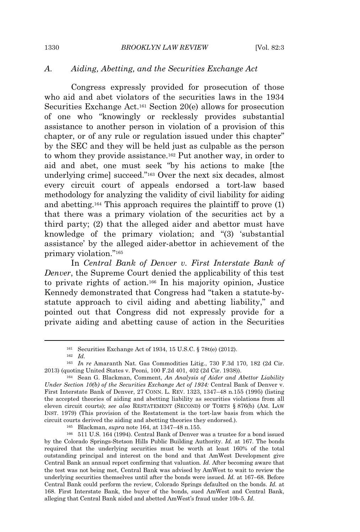#### *A. Aiding, Abetting, and the Securities Exchange Act*

Congress expressly provided for prosecution of those who aid and abet violators of the securities laws in the 1934 Securities Exchange Act.<sup>161</sup> Section 20(e) allows for prosecution of one who "knowingly or recklessly provides substantial assistance to another person in violation of a provision of this chapter, or of any rule or regulation issued under this chapter" by the SEC and they will be held just as culpable as the person to whom they provide assistance.<sup>162</sup> Put another way, in order to aid and abet, one must seek "by his actions to make [the underlying crime] succeed."<sup>163</sup> Over the next six decades, almost every circuit court of appeals endorsed a tort-law based methodology for analyzing the validity of civil liability for aiding and abetting.<sup>164</sup> This approach requires the plaintiff to prove (1) that there was a primary violation of the securities act by a third party; (2) that the alleged aider and abettor must have knowledge of the primary violation; and "(3) 'substantial assistance' by the alleged aider-abettor in achievement of the primary violation."<sup>165</sup>

In *Central Bank of Denver v. First Interstate Bank of Denver*, the Supreme Court denied the applicability of this test to private rights of action.<sup>166</sup> In his majority opinion, Justice Kennedy demonstrated that Congress had "taken a statute-bystatute approach to civil aiding and abetting liability," and pointed out that Congress did not expressly provide for a private aiding and abetting cause of action in the Securities

<sup>165</sup> Blackman, *supra* note 164, at 1347–48 n.155.

<sup>166</sup> 511 U.S. 164 (1994). Central Bank of Denver was a trustee for a bond issued by the Colorado Springs-Stetson Hills Public Building Authority. *Id.* at 167. The bonds required that the underlying securities must be worth at least 160% of the total outstanding principal and interest on the bond and that AmWest Development give Central Bank an annual report confirming that valuation*. Id.* After becoming aware that the test was not being met, Central Bank was advised by AmWest to wait to review the underlying securities themselves until after the bonds were issued. *Id.* at 167–68. Before Central Bank could perform the review, Colorado Springs defaulted on the bonds. *Id.* at 168. First Interstate Bank, the buyer of the bonds, sued AmWest and Central Bank, alleging that Central Bank aided and abetted AmWest's fraud under 10b-5. *Id.*

<sup>161</sup> Securities Exchange Act of 1934, 15 U.S.C. § 78t(e) (2012).

<sup>162</sup> *Id.*

<sup>163</sup> *In re* Amaranth Nat. Gas Commodities Litig., 730 F.3d 170, 182 (2d Cir. 2013) (quoting United States v. Peoni, 100 F.2d 401, 402 (2d Cir. 1938)).

<sup>164</sup> Sean G. Blackman, Comment, *An Analysis of Aider and Abettor Liability Under Section 10(b) of the Securities Exchange Act of 1934:* Central Bank of Denver v. First Interstate Bank of Denver, 27 CONN. L. REV. 1323, 1347–48 n.155 (1995) (listing the accepted theories of aiding and abetting liability as securities violations from all eleven circuit courts); *see also* RESTATEMENT (SECOND) OF TORTS § 876(b) (AM. LAW INST. 1979) (This provision of the Restatement is the tort-law basis from which the circuit courts derived the aiding and abetting theories they endorsed.).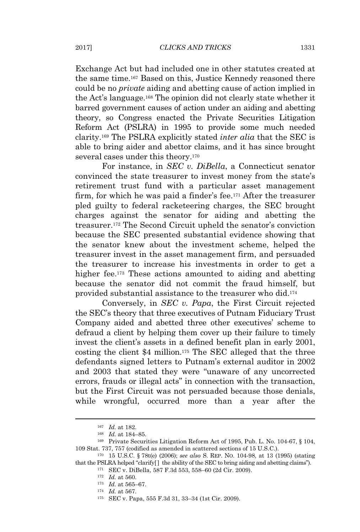Exchange Act but had included one in other statutes created at the same time.<sup>167</sup> Based on this, Justice Kennedy reasoned there could be no *private* aiding and abetting cause of action implied in the Act's language.<sup>168</sup> The opinion did not clearly state whether it barred government causes of action under an aiding and abetting theory, so Congress enacted the Private Securities Litigation Reform Act (PSLRA) in 1995 to provide some much needed clarity.<sup>169</sup> The PSLRA explicitly stated *inter alia* that the SEC is able to bring aider and abettor claims, and it has since brought several cases under this theory.<sup>170</sup>

For instance, in *SEC v. DiBella*, a Connecticut senator convinced the state treasurer to invest money from the state's retirement trust fund with a particular asset management firm, for which he was paid a finder's fee.<sup>171</sup> After the treasurer pled guilty to federal racketeering charges, the SEC brought charges against the senator for aiding and abetting the treasurer.<sup>172</sup> The Second Circuit upheld the senator's conviction because the SEC presented substantial evidence showing that the senator knew about the investment scheme, helped the treasurer invest in the asset management firm, and persuaded the treasurer to increase his investments in order to get a higher fee.<sup>173</sup> These actions amounted to aiding and abetting because the senator did not commit the fraud himself, but provided substantial assistance to the treasurer who did.<sup>174</sup>

Conversely, in *SEC v. Papa*, the First Circuit rejected the SEC's theory that three executives of Putnam Fiduciary Trust Company aided and abetted three other executives' scheme to defraud a client by helping them cover up their failure to timely invest the client's assets in a defined benefit plan in early 2001, costing the client \$4 million.<sup>175</sup> The SEC alleged that the three defendants signed letters to Putnam's external auditor in 2002 and 2003 that stated they were "unaware of any uncorrected errors, frauds or illegal acts" in connection with the transaction, but the First Circuit was not persuaded because those denials, while wrongful, occurred more than a year after the

<sup>167</sup> *Id.* at 182.

<sup>168</sup> *Id.* at 184–85.

<sup>169</sup> Private Securities Litigation Reform Act of 1995, Pub. L. No. 104-67, § 104, 109 Stat. 737, 757 (codified as amended in scattered sections of 15 U.S.C.).

<sup>170</sup> 15 U.S.C. § 78t(e) (2006); *see also* S. REP. NO. 104-98, at 13 (1995) (stating that the PSLRA helped "clarify[ ] the ability of the SEC to bring aiding and abetting claims").

<sup>171</sup> SEC v. DiBella, 587 F.3d 553, 558–60 (2d Cir. 2009).

<sup>172</sup> *Id.* at 560.

<sup>173</sup> *Id.* at 565–67.

<sup>174</sup> *Id.* at 567.

<sup>175</sup> SEC v. Papa, 555 F.3d 31, 33–34 (1st Cir. 2009).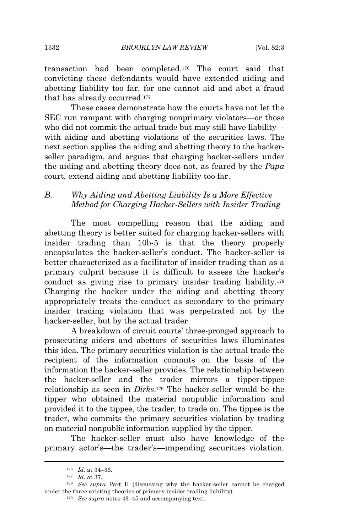transaction had been completed.<sup>176</sup> The court said that convicting these defendants would have extended aiding and abetting liability too far, for one cannot aid and abet a fraud that has already occurred.<sup>177</sup>

These cases demonstrate how the courts have not let the SEC run rampant with charging nonprimary violators—or those who did not commit the actual trade but may still have liability with aiding and abetting violations of the securities laws. The next section applies the aiding and abetting theory to the hackerseller paradigm, and argues that charging hacker-sellers under the aiding and abetting theory does not, as feared by the *Papa* court, extend aiding and abetting liability too far.

# *B. Why Aiding and Abetting Liability Is a More Effective Method for Charging Hacker-Sellers with Insider Trading*

The most compelling reason that the aiding and abetting theory is better suited for charging hacker-sellers with insider trading than 10b-5 is that the theory properly encapsulates the hacker-seller's conduct. The hacker-seller is better characterized as a facilitator of insider trading than as a primary culprit because it is difficult to assess the hacker's conduct as giving rise to primary insider trading liability.<sup>178</sup> Charging the hacker under the aiding and abetting theory appropriately treats the conduct as secondary to the primary insider trading violation that was perpetrated not by the hacker-seller, but by the actual trader.

A breakdown of circuit courts' three-pronged approach to prosecuting aiders and abettors of securities laws illuminates this idea. The primary securities violation is the actual trade the recipient of the information commits on the basis of the information the hacker-seller provides. The relationship between the hacker-seller and the trader mirrors a tipper-tippee relationship as seen in *Dirks*. <sup>179</sup> The hacker-seller would be the tipper who obtained the material nonpublic information and provided it to the tippee, the trader, to trade on. The tippee is the trader, who commits the primary securities violation by trading on material nonpublic information supplied by the tipper.

The hacker-seller must also have knowledge of the primary actor's—the trader's—impending securities violation.

<sup>176</sup> *Id.* at 34–36.

<sup>177</sup> *Id.* at 37.

<sup>178</sup> *See supra* Part II (discussing why the hacker-seller cannot be charged under the three existing theories of primary insider trading liability).

<sup>179</sup> *See supra* notes 43–45 and accompanying text.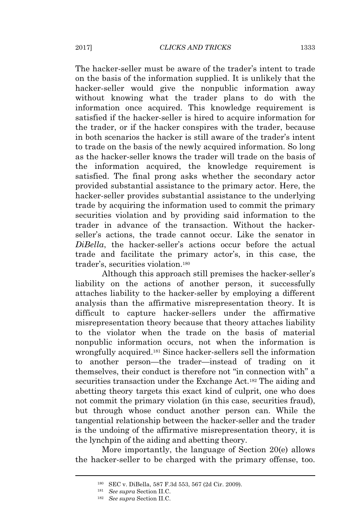The hacker-seller must be aware of the trader's intent to trade on the basis of the information supplied. It is unlikely that the hacker-seller would give the nonpublic information away without knowing what the trader plans to do with the information once acquired. This knowledge requirement is satisfied if the hacker-seller is hired to acquire information for the trader, or if the hacker conspires with the trader, because in both scenarios the hacker is still aware of the trader's intent to trade on the basis of the newly acquired information. So long as the hacker-seller knows the trader will trade on the basis of the information acquired, the knowledge requirement is satisfied. The final prong asks whether the secondary actor provided substantial assistance to the primary actor. Here, the hacker-seller provides substantial assistance to the underlying trade by acquiring the information used to commit the primary securities violation and by providing said information to the trader in advance of the transaction. Without the hackerseller's actions, the trade cannot occur. Like the senator in *DiBella*, the hacker-seller's actions occur before the actual trade and facilitate the primary actor's, in this case, the trader's, securities violation.<sup>180</sup>

Although this approach still premises the hacker-seller's liability on the actions of another person, it successfully attaches liability to the hacker-seller by employing a different analysis than the affirmative misrepresentation theory. It is difficult to capture hacker-sellers under the affirmative misrepresentation theory because that theory attaches liability to the violator when the trade on the basis of material nonpublic information occurs, not when the information is wrongfully acquired.<sup>181</sup> Since hacker-sellers sell the information to another person—the trader—instead of trading on it themselves, their conduct is therefore not "in connection with" a securities transaction under the Exchange Act.<sup>182</sup> The aiding and abetting theory targets this exact kind of culprit, one who does not commit the primary violation (in this case, securities fraud), but through whose conduct another person can. While the tangential relationship between the hacker-seller and the trader is the undoing of the affirmative misrepresentation theory, it is the lynchpin of the aiding and abetting theory.

More importantly, the language of Section 20(e) allows the hacker-seller to be charged with the primary offense, too.

<sup>180</sup> SEC v. DiBella, 587 F.3d 553, 567 (2d Cir. 2009).

<sup>181</sup> *See supra* Section II.C.

<sup>182</sup> *See supra* Section II.C.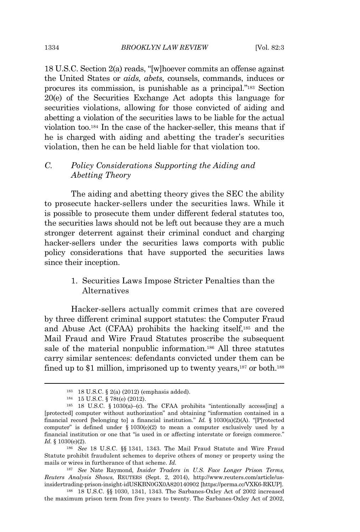18 U.S.C. Section 2(a) reads, "[w]hoever commits an offense against the United States or *aids, abets,* counsels, commands, induces or procures its commission, is punishable as a principal."<sup>183</sup> Section 20(e) of the Securities Exchange Act adopts this language for securities violations, allowing for those convicted of aiding and abetting a violation of the securities laws to be liable for the actual violation too.<sup>184</sup> In the case of the hacker-seller, this means that if he is charged with aiding and abetting the trader's securities violation, then he can be held liable for that violation too.

# *C. Policy Considerations Supporting the Aiding and Abetting Theory*

The aiding and abetting theory gives the SEC the ability to prosecute hacker-sellers under the securities laws. While it is possible to prosecute them under different federal statutes too, the securities laws should not be left out because they are a much stronger deterrent against their criminal conduct and charging hacker-sellers under the securities laws comports with public policy considerations that have supported the securities laws since their inception.

## 1. Securities Laws Impose Stricter Penalties than the Alternatives

Hacker-sellers actually commit crimes that are covered by three different criminal support statutes: the Computer Fraud and Abuse Act (CFAA) prohibits the hacking itself,<sup>185</sup> and the Mail Fraud and Wire Fraud Statutes proscribe the subsequent sale of the material nonpublic information.<sup>186</sup> All three statutes carry similar sentences: defendants convicted under them can be fined up to \$1 million, imprisoned up to twenty years,<sup>187</sup> or both.<sup>188</sup>

<sup>183</sup> 18 U.S.C. § 2(a) (2012) (emphasis added).

<sup>184</sup> 15 U.S.C. § 78t(e) (2012).

<sup>&</sup>lt;sup>185</sup> 18 U.S.C. § 1030(a)–(c). The CFAA prohibits "intentionally access [ing] a [protected] computer without authorization" and obtaining "information contained in a financial record [belonging to] a financial institution." *Id.* § 1030(a)(2)(A). "[P]rotected computer" is defined under  $\S 1030(e)(2)$  to mean a computer exclusively used by a financial institution or one that "is used in or affecting interstate or foreign commerce." *Id.* § 1030(e)(2).

<sup>186</sup> *See* 18 U.S.C. §§ 1341, 1343. The Mail Fraud Statute and Wire Fraud Statute prohibit fraudulent schemes to deprive others of money or property using the mails or wires in furtherance of that scheme. *Id.*

<sup>187</sup> *See* Nate Raymond, *Insider Traders in U.S. Face Longer Prison Terms, Reuters Analysis Shows*, REUTERS (Sept. 2, 2014), http://www.reuters.com/article/usinsidertrading-prison-insight-idUSKBN0GX0A820140902 [https://perma.cc/VXK6-RKUP].

<sup>188</sup> 18 U.S.C. §§ 1030, 1341, 1343. The Sarbanes-Oxley Act of 2002 increased the maximum prison term from five years to twenty. The Sarbanes-Oxley Act of 2002,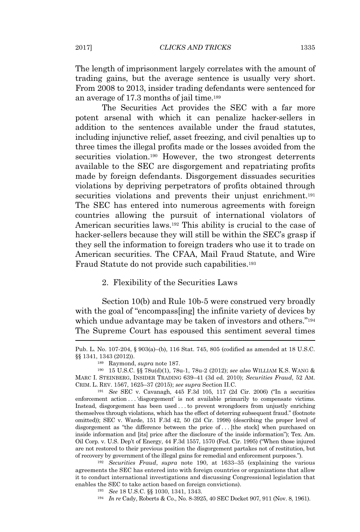The length of imprisonment largely correlates with the amount of trading gains, but the average sentence is usually very short. From 2008 to 2013, insider trading defendants were sentenced for an average of 17.3 months of jail time.<sup>189</sup>

The Securities Act provides the SEC with a far more potent arsenal with which it can penalize hacker-sellers in addition to the sentences available under the fraud statutes, including injunctive relief, asset freezing, and civil penalties up to three times the illegal profits made or the losses avoided from the securities violation.<sup>190</sup> However, the two strongest deterrents available to the SEC are disgorgement and repatriating profits made by foreign defendants. Disgorgement dissuades securities violations by depriving perpetrators of profits obtained through securities violations and prevents their unjust enrichment.<sup>191</sup> The SEC has entered into numerous agreements with foreign countries allowing the pursuit of international violators of American securities laws.<sup>192</sup> This ability is crucial to the case of hacker-sellers because they will still be within the SEC's grasp if they sell the information to foreign traders who use it to trade on American securities. The CFAA, Mail Fraud Statute, and Wire Fraud Statute do not provide such capabilities.<sup>193</sup>

#### 2. Flexibility of the Securities Laws

Section 10(b) and Rule 10b-5 were construed very broadly with the goal of "encompass[ing] the infinite variety of devices by which undue advantage may be taken of investors and others."<sup>194</sup> The Supreme Court has espoused this sentiment several times

<sup>191</sup> *See* SEC v. Cavanagh, 445 F.3d 105, 117 (2d Cir. 2006) ("In a securities enforcement action . . . 'disgorgement' is not available primarily to compensate victims. Instead, disgorgement has been used . . . to prevent wrongdoers from unjustly enriching themselves through violations, which has the effect of deterring subsequent fraud." (footnote omitted)); SEC v. Warde, 151 F.3d 42, 50 (2d Cir. 1998) (describing the proper level of disgorgement as "the difference between the price of . . . [the stock] when purchased on inside information and [its] price after the disclosure of the inside information"); Tex. Am. Oil Corp. v. U.S. Dep't of Energy, 44 F.3d 1557, 1570 (Fed. Cir. 1995) ("When those injured are not restored to their previous position the disgorgement partakes not of restitution, but of recovery by government of the illegal gains for remedial and enforcement purposes.").

<sup>192</sup> *Securities Fraud*, *supra* note 190, at 1633–35 (explaining the various agreements the SEC has entered into with foreign countries or organizations that allow it to conduct international investigations and discussing Congressional legislation that enables the SEC to take action based on foreign convictions).

<sup>193</sup> *See* 18 U.S.C. §§ 1030, 1341, 1343.

<sup>194</sup> *In re* Cady, Roberts & Co., No. 8-3925, 40 SEC Docket 907, 911 (Nov. 8, 1961).

Pub. L. No. 107-204, § 903(a)–(b), 116 Stat. 745, 805 (codified as amended at 18 U.S.C. §§ 1341, 1343 (2012)).

<sup>189</sup> Raymond, *supra* note 187.

<sup>190</sup> 15 U.S.C. §§ 78u(d)(1), 78u-1, 78u-2 (2012); *see also* WILLIAM K.S. WANG & MARC I. STEINBERG, INSIDER TRADING 639–41 (3d ed. 2010); *Securities Fraud*, 52 AM. CRIM. L. REV. 1567, 1625–37 (2015); *see supra* Section II.C.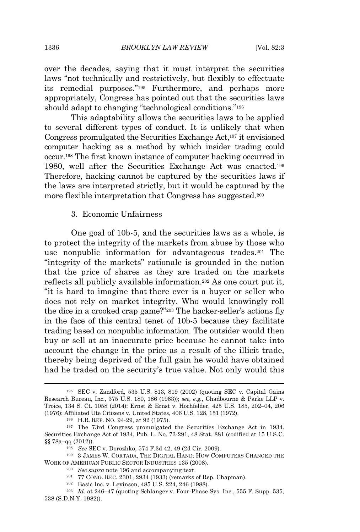over the decades, saying that it must interpret the securities laws "not technically and restrictively, but flexibly to effectuate its remedial purposes."<sup>195</sup> Furthermore, and perhaps more appropriately, Congress has pointed out that the securities laws should adapt to changing "technological conditions."<sup>196</sup>

This adaptability allows the securities laws to be applied to several different types of conduct. It is unlikely that when Congress promulgated the Securities Exchange Act,<sup>197</sup> it envisioned computer hacking as a method by which insider trading could occur.<sup>198</sup> The first known instance of computer hacking occurred in 1980, well after the Securities Exchange Act was enacted.<sup>199</sup> Therefore, hacking cannot be captured by the securities laws if the laws are interpreted strictly, but it would be captured by the more flexible interpretation that Congress has suggested.<sup>200</sup>

#### 3. Economic Unfairness

One goal of 10b-5, and the securities laws as a whole, is to protect the integrity of the markets from abuse by those who use nonpublic information for advantageous trades.<sup>201</sup> The "integrity of the markets" rationale is grounded in the notion that the price of shares as they are traded on the markets reflects all publicly available information.<sup>202</sup> As one court put it, "it is hard to imagine that there ever is a buyer or seller who does not rely on market integrity. Who would knowingly roll the dice in a crooked crap game?"<sup>203</sup> The hacker-seller's actions fly in the face of this central tenet of 10b-5 because they facilitate trading based on nonpublic information. The outsider would then buy or sell at an inaccurate price because he cannot take into account the change in the price as a result of the illicit trade, thereby being deprived of the full gain he would have obtained had he traded on the security's true value. Not only would this

<sup>195</sup> SEC v. Zandford, 535 U.S. 813, 819 (2002) (quoting SEC v. Capital Gains Research Bureau, Inc., 375 U.S. 180, 186 (1963)); *see, e.g.*, Chadbourne & Parke LLP v. Troice, 134 S. Ct. 1058 (2014); Ernst & Ernst v. Hochfelder, 425 U.S. 185, 202–04, 206 (1976); Affiliated Ute Citizens v. United States, 406 U.S. 128, 151 (1972).

<sup>196</sup> H.R. REP. NO. 94-29, at 92 (1975).

<sup>197</sup> The 73rd Congress promulgated the Securities Exchange Act in 1934. Securities Exchange Act of 1934, Pub. L. No. 73-291, 48 Stat. 881 (codified at 15 U.S.C. §§ 78a–qq (2012)).

<sup>198</sup> *See* SEC v. Dorozhko, 574 F.3d 42, 49 (2d Cir. 2009).

<sup>199</sup> 3 JAMES W. CORTADA, THE DIGITAL HAND: HOW COMPUTERS CHANGED THE WORK OF AMERICAN PUBLIC SECTOR INDUSTRIES 135 (2008).

<sup>200</sup> *See supra* note 196 and accompanying text.

<sup>201</sup> 77 CONG. REC. 2301, 2934 (1933) (remarks of Rep. Chapman).

<sup>202</sup> Basic Inc. v. Levinson, 485 U.S. 224, 246 (1988).

<sup>203</sup> *Id.* at 246–47 (quoting Schlanger v. Four-Phase Sys. Inc., 555 F. Supp. 535, 538 (S.D.N.Y. 1982)).